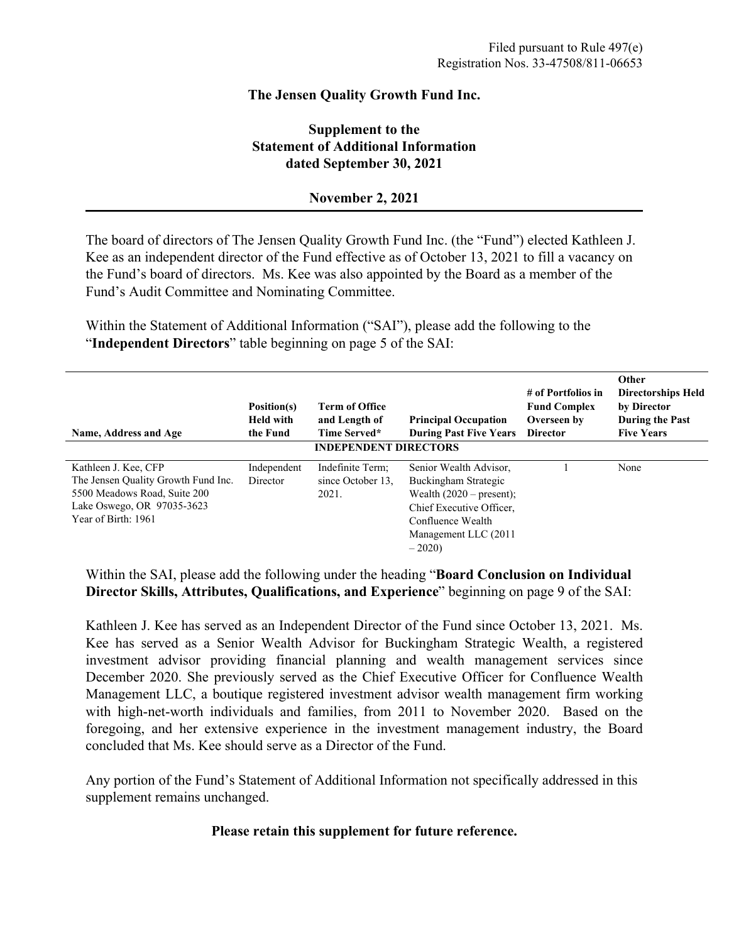# **The Jensen Quality Growth Fund Inc.**

# **Supplement to the Statement of Additional Information dated September 30, 2021**

## **November 2, 2021**

The board of directors of The Jensen Quality Growth Fund Inc. (the "Fund") elected Kathleen J. Kee as an independent director of the Fund effective as of October 13, 2021 to fill a vacancy on the Fund's board of directors. Ms. Kee was also appointed by the Board as a member of the Fund's Audit Committee and Nominating Committee.

Within the Statement of Additional Information ("SAI"), please add the following to the "**Independent Directors**" table beginning on page 5 of the SAI:

| Name, Address and Age                                                                                                                            | Position(s)<br><b>Held with</b><br>the Fund | <b>Term of Office</b><br>and Length of<br>Time Served*<br><b>INDEPENDENT DIRECTORS</b> | <b>Principal Occupation</b><br><b>During Past Five Years</b>                                                                                                       | # of Portfolios in<br><b>Fund Complex</b><br>Overseen by<br><b>Director</b> | Other<br><b>Directorships Held</b><br>by Director<br>During the Past<br><b>Five Years</b> |
|--------------------------------------------------------------------------------------------------------------------------------------------------|---------------------------------------------|----------------------------------------------------------------------------------------|--------------------------------------------------------------------------------------------------------------------------------------------------------------------|-----------------------------------------------------------------------------|-------------------------------------------------------------------------------------------|
| Kathleen J. Kee, CFP<br>The Jensen Quality Growth Fund Inc.<br>5500 Meadows Road, Suite 200<br>Lake Oswego, OR 97035-3623<br>Year of Birth: 1961 | Independent<br>Director                     | Indefinite Term;<br>since October 13.<br>2021.                                         | Senior Wealth Advisor,<br>Buckingham Strategic<br>Wealth $(2020 - present)$ ;<br>Chief Executive Officer.<br>Confluence Wealth<br>Management LLC (2011)<br>$-2020$ |                                                                             | None                                                                                      |

Within the SAI, please add the following under the heading "**Board Conclusion on Individual Director Skills, Attributes, Qualifications, and Experience**" beginning on page 9 of the SAI:

Kathleen J. Kee has served as an Independent Director of the Fund since October 13, 2021. Ms. Kee has served as a Senior Wealth Advisor for Buckingham Strategic Wealth, a registered investment advisor providing financial planning and wealth management services since December 2020. She previously served as the Chief Executive Officer for Confluence Wealth Management LLC, a boutique registered investment advisor wealth management firm working with high-net-worth individuals and families, from 2011 to November 2020. Based on the foregoing, and her extensive experience in the investment management industry, the Board concluded that Ms. Kee should serve as a Director of the Fund.

Any portion of the Fund's Statement of Additional Information not specifically addressed in this supplement remains unchanged.

## **Please retain this supplement for future reference.**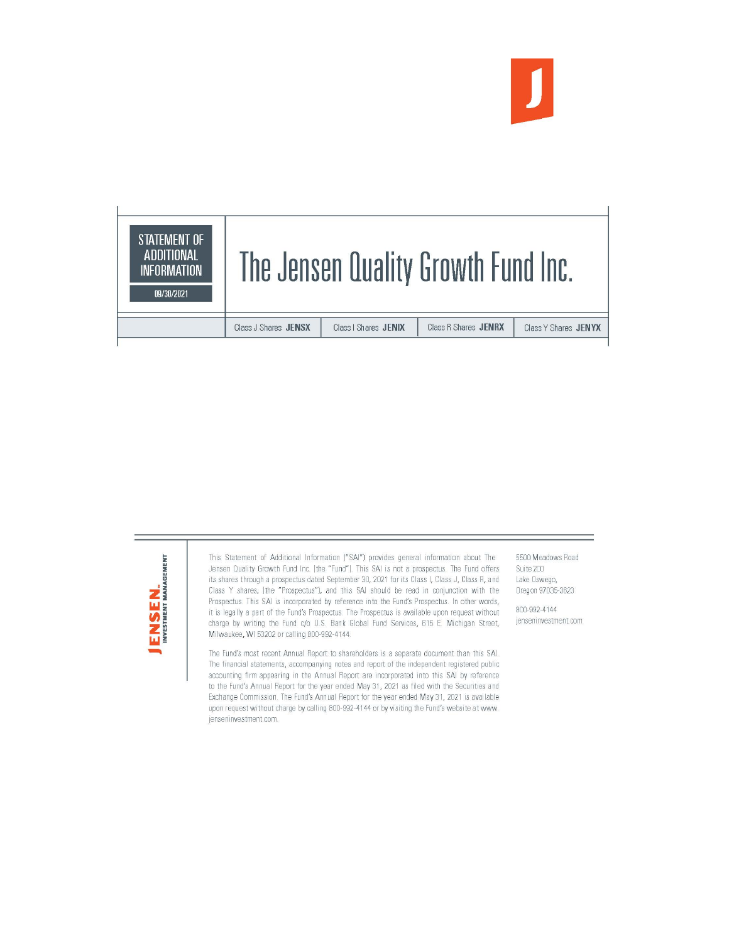





This Statement of Additional Information ("SAI") provides general information about The Jensen Quality Growth Fund Inc. (the "Fund"). This SAI is not a prospectus. The Fund offers its shares through a prospectus dated September 30, 2021 for its Class I, Class J, Class R, and Class Y shares, (the "Prospectus"), and this SAI should be read in conjunction with the Prospectus. This SAI is incorporated by reference into the Fund's Prospectus. In other words, it is legally a part of the Fund's Prospectus. The Prospectus is available upon request without charge by writing the Fund c/o U.S. Bank Global Fund Services, 615 E. Michigan Street, Milwaukee, WI 53202 or calling 800-992-4144.

The Fund's most recent Annual Report to shareholders is a separate document than this SAI. The financial statements, accompanying notes and report of the independent registered public accounting firm appearing in the Annual Report are incorporated into this SAI by reference to the Fund's Annual Report for the year ended May 31, 2021 as filed with the Securities and Exchange Commission. The Fund's Annual Report for the year ended May 31, 2021 is available upon request without charge by calling 800-992-4144 or by visiting the Fund's website at www. jenseninvestment.com.

5500 Meadows Road Suite 200 Lake Oswego, Oregon 97035-3623

800-992-4144 ienseninvestment.com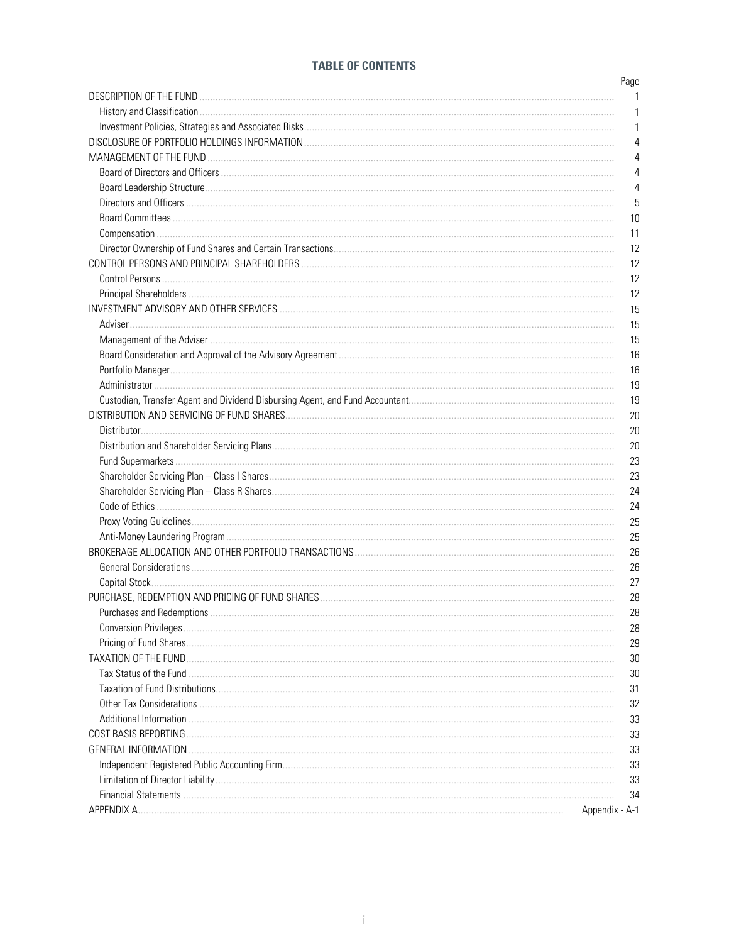## **TABLE OF CONTENTS**

|                              | Page           |
|------------------------------|----------------|
|                              |                |
|                              | 1              |
|                              | 1              |
|                              | 4              |
|                              | 4              |
|                              | 4              |
|                              | 4              |
|                              | 5              |
|                              | 10             |
|                              | 11             |
|                              | 12             |
|                              | 12             |
|                              | 12             |
|                              | 12             |
|                              | 15             |
|                              | 15             |
|                              | 15             |
|                              | 16             |
|                              | 16             |
|                              | 19             |
|                              | 19             |
|                              | 20             |
|                              | 20             |
|                              | 20             |
|                              | 23             |
|                              | 23             |
|                              | 24             |
|                              | 24             |
|                              | 25             |
|                              | 25             |
|                              | 26             |
|                              | 26             |
|                              | 27             |
|                              | 28             |
|                              |                |
| Purchases and Redemptions    | 28             |
| <b>Conversion Privileges</b> | 28             |
|                              | 29             |
| <b>TAXATION OF THE FUND.</b> | 30             |
| Tax Status of the Fund.      | 30             |
|                              | 31             |
|                              | 32             |
|                              | 33             |
| COST BASIS REPORTING         | 33             |
| <b>GENERAL INFORMATION</b>   | 33             |
|                              | 33             |
|                              | 33             |
|                              | 34             |
| APPENDIX A.                  | Appendix - A-1 |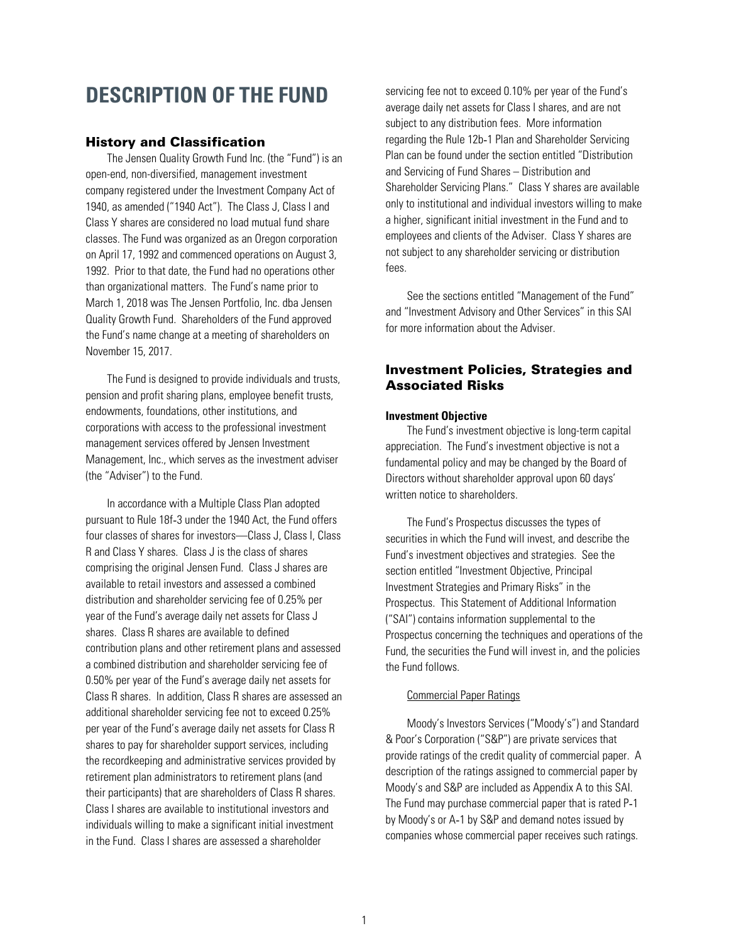# <span id="page-3-0"></span>**DESCRIPTION OF THE FUND**

### History and Classification

The Jensen Quality Growth Fund Inc. (the "Fund") is an open-end, non-diversified, management investment company registered under the Investment Company Act of 1940, as amended ("1940 Act"). The Class J, Class I and Class Y shares are considered no load mutual fund share classes. The Fund was organized as an Oregon corporation on April 17, 1992 and commenced operations on August 3, 1992. Prior to that date, the Fund had no operations other than organizational matters. The Fund's name prior to March 1, 2018 was The Jensen Portfolio, Inc. dba Jensen Quality Growth Fund. Shareholders of the Fund approved the Fund's name change at a meeting of shareholders on November 15, 2017.

The Fund is designed to provide individuals and trusts, pension and profit sharing plans, employee benefit trusts, endowments, foundations, other institutions, and corporations with access to the professional investment management services offered by Jensen Investment Management, Inc., which serves as the investment adviser (the "Adviser") to the Fund.

In accordance with a Multiple Class Plan adopted pursuant to Rule 18f‑3 under the 1940 Act, the Fund offers four classes of shares for investors—Class J, Class I, Class R and Class Y shares. Class J is the class of shares comprising the original Jensen Fund. Class J shares are available to retail investors and assessed a combined distribution and shareholder servicing fee of 0.25% per year of the Fund's average daily net assets for Class J shares. Class R shares are available to defined contribution plans and other retirement plans and assessed a combined distribution and shareholder servicing fee of 0.50% per year of the Fund's average daily net assets for Class R shares. In addition, Class R shares are assessed an additional shareholder servicing fee not to exceed 0.25% per year of the Fund's average daily net assets for Class R shares to pay for shareholder support services, including the recordkeeping and administrative services provided by retirement plan administrators to retirement plans (and their participants) that are shareholders of Class R shares. Class I shares are available to institutional investors and individuals willing to make a significant initial investment in the Fund. Class I shares are assessed a shareholder

servicing fee not to exceed 0.10% per year of the Fund's average daily net assets for Class I shares, and are not subject to any distribution fees. More information regarding the Rule 12b‑1 Plan and Shareholder Servicing Plan can be found under the section entitled "Distribution and Servicing of Fund Shares – Distribution and Shareholder Servicing Plans." Class Y shares are available only to institutional and individual investors willing to make a higher, significant initial investment in the Fund and to employees and clients of the Adviser. Class Y shares are not subject to any shareholder servicing or distribution fees.

See the sections entitled "Management of the Fund" and "Investment Advisory and Other Services" in this SAI for more information about the Adviser.

## Investment Policies, Strategies and Associated Risks

#### **Investment Objective**

The Fund's investment objective is long-term capital appreciation. The Fund's investment objective is not a fundamental policy and may be changed by the Board of Directors without shareholder approval upon 60 days' written notice to shareholders.

The Fund's Prospectus discusses the types of securities in which the Fund will invest, and describe the Fund's investment objectives and strategies. See the section entitled "Investment Objective, Principal Investment Strategies and Primary Risks" in the Prospectus. This Statement of Additional Information ("SAI") contains information supplemental to the Prospectus concerning the techniques and operations of the Fund, the securities the Fund will invest in, and the policies the Fund follows.

### Commercial Paper Ratings

Moody's Investors Services ("Moody's") and Standard & Poor's Corporation ("S&P") are private services that provide ratings of the credit quality of commercial paper. A description of the ratings assigned to commercial paper by Moody's and S&P are included as Appendix A to this SAI. The Fund may purchase commercial paper that is rated P-1 by Moody's or A‑1 by S&P and demand notes issued by companies whose commercial paper receives such ratings.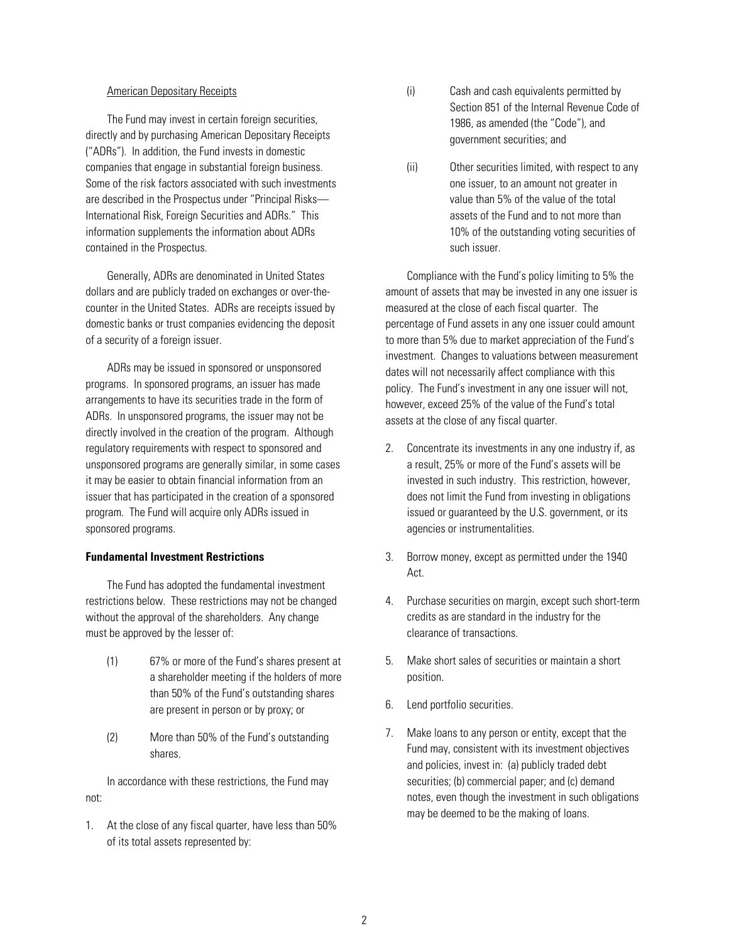### American Depositary Receipts

The Fund may invest in certain foreign securities, directly and by purchasing American Depositary Receipts ("ADRs"). In addition, the Fund invests in domestic companies that engage in substantial foreign business. Some of the risk factors associated with such investments are described in the Prospectus under "Principal Risks— International Risk, Foreign Securities and ADRs." This information supplements the information about ADRs contained in the Prospectus.

Generally, ADRs are denominated in United States dollars and are publicly traded on exchanges or over-thecounter in the United States. ADRs are receipts issued by domestic banks or trust companies evidencing the deposit of a security of a foreign issuer.

ADRs may be issued in sponsored or unsponsored programs. In sponsored programs, an issuer has made arrangements to have its securities trade in the form of ADRs. In unsponsored programs, the issuer may not be directly involved in the creation of the program. Although regulatory requirements with respect to sponsored and unsponsored programs are generally similar, in some cases it may be easier to obtain financial information from an issuer that has participated in the creation of a sponsored program. The Fund will acquire only ADRs issued in sponsored programs.

#### **Fundamental Investment Restrictions**

The Fund has adopted the fundamental investment restrictions below. These restrictions may not be changed without the approval of the shareholders. Any change must be approved by the lesser of:

- (1) 67% or more of the Fund's shares present at a shareholder meeting if the holders of more than 50% of the Fund's outstanding shares are present in person or by proxy; or
- (2) More than 50% of the Fund's outstanding shares.

In accordance with these restrictions, the Fund may not:

1. At the close of any fiscal quarter, have less than 50% of its total assets represented by:

- (i) Cash and cash equivalents permitted by Section 851 of the Internal Revenue Code of 1986, as amended (the "Code"), and government securities; and
- (ii) Other securities limited, with respect to any one issuer, to an amount not greater in value than 5% of the value of the total assets of the Fund and to not more than 10% of the outstanding voting securities of such issuer.

Compliance with the Fund's policy limiting to 5% the amount of assets that may be invested in any one issuer is measured at the close of each fiscal quarter. The percentage of Fund assets in any one issuer could amount to more than 5% due to market appreciation of the Fund's investment. Changes to valuations between measurement dates will not necessarily affect compliance with this policy. The Fund's investment in any one issuer will not, however, exceed 25% of the value of the Fund's total assets at the close of any fiscal quarter.

- 2. Concentrate its investments in any one industry if, as a result, 25% or more of the Fund's assets will be invested in such industry. This restriction, however, does not limit the Fund from investing in obligations issued or guaranteed by the U.S. government, or its agencies or instrumentalities.
- 3. Borrow money, except as permitted under the 1940 Act.
- 4. Purchase securities on margin, except such short-term credits as are standard in the industry for the clearance of transactions.
- 5. Make short sales of securities or maintain a short position.
- 6. Lend portfolio securities.
- 7. Make loans to any person or entity, except that the Fund may, consistent with its investment objectives and policies, invest in: (a) publicly traded debt securities; (b) commercial paper; and (c) demand notes, even though the investment in such obligations may be deemed to be the making of loans.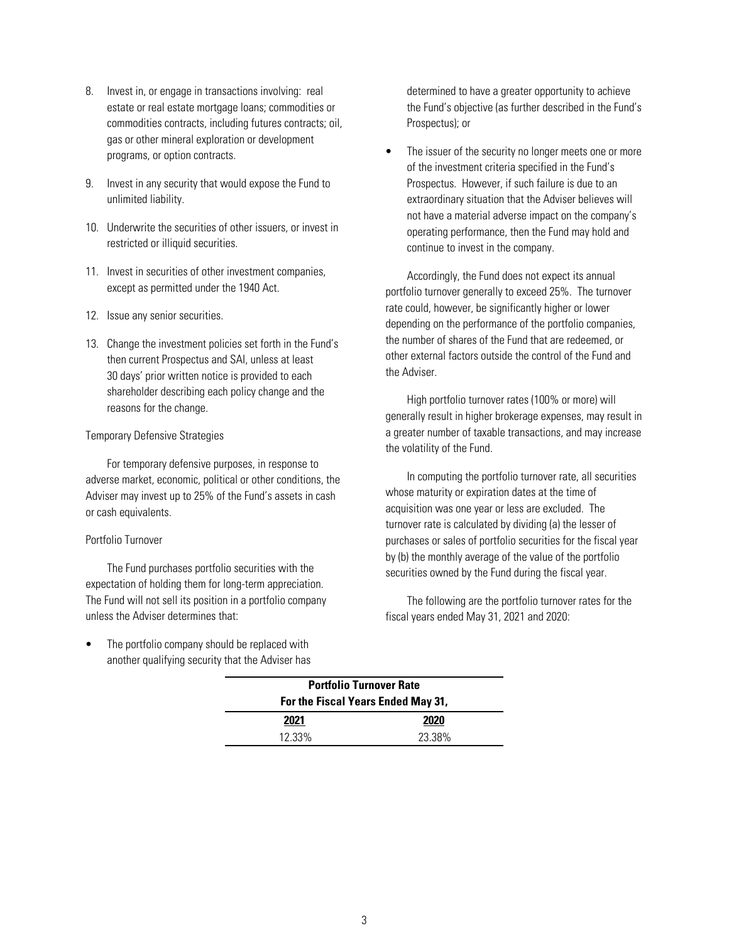- 8. Invest in, or engage in transactions involving: real estate or real estate mortgage loans; commodities or commodities contracts, including futures contracts; oil, gas or other mineral exploration or development programs, or option contracts.
- 9. Invest in any security that would expose the Fund to unlimited liability.
- 10. Underwrite the securities of other issuers, or invest in restricted or illiquid securities.
- 11. Invest in securities of other investment companies, except as permitted under the 1940 Act.
- 12. Issue any senior securities.
- 13. Change the investment policies set forth in the Fund's then current Prospectus and SAI, unless at least 30 days' prior written notice is provided to each shareholder describing each policy change and the reasons for the change.

### Temporary Defensive Strategies

For temporary defensive purposes, in response to adverse market, economic, political or other conditions, the Adviser may invest up to 25% of the Fund's assets in cash or cash equivalents.

### Portfolio Turnover

The Fund purchases portfolio securities with the expectation of holding them for long-term appreciation. The Fund will not sell its position in a portfolio company unless the Adviser determines that:

The portfolio company should be replaced with another qualifying security that the Adviser has determined to have a greater opportunity to achieve the Fund's objective (as further described in the Fund's Prospectus); or

The issuer of the security no longer meets one or more of the investment criteria specified in the Fund's Prospectus. However, if such failure is due to an extraordinary situation that the Adviser believes will not have a material adverse impact on the company's operating performance, then the Fund may hold and continue to invest in the company.

Accordingly, the Fund does not expect its annual portfolio turnover generally to exceed 25%. The turnover rate could, however, be significantly higher or lower depending on the performance of the portfolio companies, the number of shares of the Fund that are redeemed, or other external factors outside the control of the Fund and the Adviser.

High portfolio turnover rates (100% or more) will generally result in higher brokerage expenses, may result in a greater number of taxable transactions, and may increase the volatility of the Fund.

In computing the portfolio turnover rate, all securities whose maturity or expiration dates at the time of acquisition was one year or less are excluded. The turnover rate is calculated by dividing (a) the lesser of purchases or sales of portfolio securities for the fiscal year by (b) the monthly average of the value of the portfolio securities owned by the Fund during the fiscal year.

The following are the portfolio turnover rates for the fiscal years ended May 31, 2021 and 2020:

| <b>Portfolio Turnover Rate</b>     |        |  |  |
|------------------------------------|--------|--|--|
| For the Fiscal Years Ended May 31, |        |  |  |
| 2020<br>2021                       |        |  |  |
| 12.33%                             | 23.38% |  |  |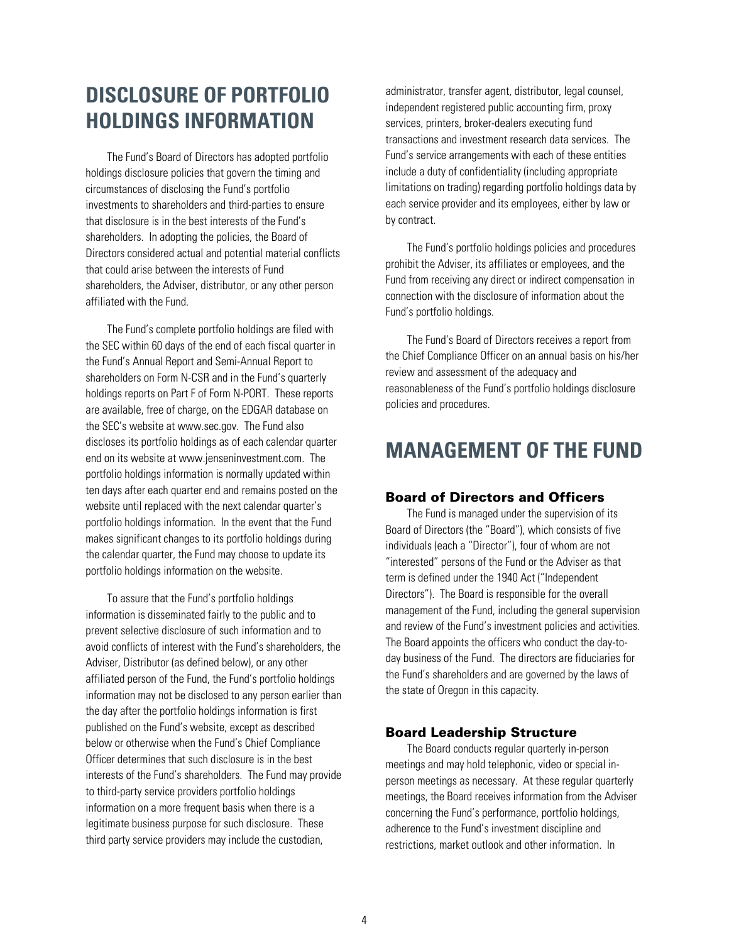# <span id="page-6-0"></span>**DISCLOSURE OF PORTFOLIO HOLDINGS INFORMATION**

The Fund's Board of Directors has adopted portfolio holdings disclosure policies that govern the timing and circumstances of disclosing the Fund's portfolio investments to shareholders and third-parties to ensure that disclosure is in the best interests of the Fund's shareholders. In adopting the policies, the Board of Directors considered actual and potential material conflicts that could arise between the interests of Fund shareholders, the Adviser, distributor, or any other person affiliated with the Fund.

The Fund's complete portfolio holdings are filed with the SEC within 60 days of the end of each fiscal quarter in the Fund's Annual Report and Semi-Annual Report to shareholders on Form N-CSR and in the Fund's quarterly holdings reports on Part F of Form N-PORT. These reports are available, free of charge, on the EDGAR database on the SEC's website at www.sec.gov. The Fund also discloses its portfolio holdings as of each calendar quarter end on its website at www.jenseninvestment.com. The portfolio holdings information is normally updated within ten days after each quarter end and remains posted on the website until replaced with the next calendar quarter's portfolio holdings information. In the event that the Fund makes significant changes to its portfolio holdings during the calendar quarter, the Fund may choose to update its portfolio holdings information on the website.

To assure that the Fund's portfolio holdings information is disseminated fairly to the public and to prevent selective disclosure of such information and to avoid conflicts of interest with the Fund's shareholders, the Adviser, Distributor (as defined below), or any other affiliated person of the Fund, the Fund's portfolio holdings information may not be disclosed to any person earlier than the day after the portfolio holdings information is first published on the Fund's website, except as described below or otherwise when the Fund's Chief Compliance Officer determines that such disclosure is in the best interests of the Fund's shareholders. The Fund may provide to third-party service providers portfolio holdings information on a more frequent basis when there is a legitimate business purpose for such disclosure. These third party service providers may include the custodian,

administrator, transfer agent, distributor, legal counsel, independent registered public accounting firm, proxy services, printers, broker-dealers executing fund transactions and investment research data services. The Fund's service arrangements with each of these entities include a duty of confidentiality (including appropriate limitations on trading) regarding portfolio holdings data by each service provider and its employees, either by law or by contract.

The Fund's portfolio holdings policies and procedures prohibit the Adviser, its affiliates or employees, and the Fund from receiving any direct or indirect compensation in connection with the disclosure of information about the Fund's portfolio holdings.

The Fund's Board of Directors receives a report from the Chief Compliance Officer on an annual basis on his/her review and assessment of the adequacy and reasonableness of the Fund's portfolio holdings disclosure policies and procedures.

# **MANAGEMENT OF THE FUND**

## Board of Directors and Officers

The Fund is managed under the supervision of its Board of Directors (the "Board"), which consists of five individuals (each a "Director"), four of whom are not "interested" persons of the Fund or the Adviser as that term is defined under the 1940 Act ("Independent Directors"). The Board is responsible for the overall management of the Fund, including the general supervision and review of the Fund's investment policies and activities. The Board appoints the officers who conduct the day-today business of the Fund. The directors are fiduciaries for the Fund's shareholders and are governed by the laws of the state of Oregon in this capacity.

## Board Leadership Structure

The Board conducts regular quarterly in-person meetings and may hold telephonic, video or special inperson meetings as necessary. At these regular quarterly meetings, the Board receives information from the Adviser concerning the Fund's performance, portfolio holdings, adherence to the Fund's investment discipline and restrictions, market outlook and other information. In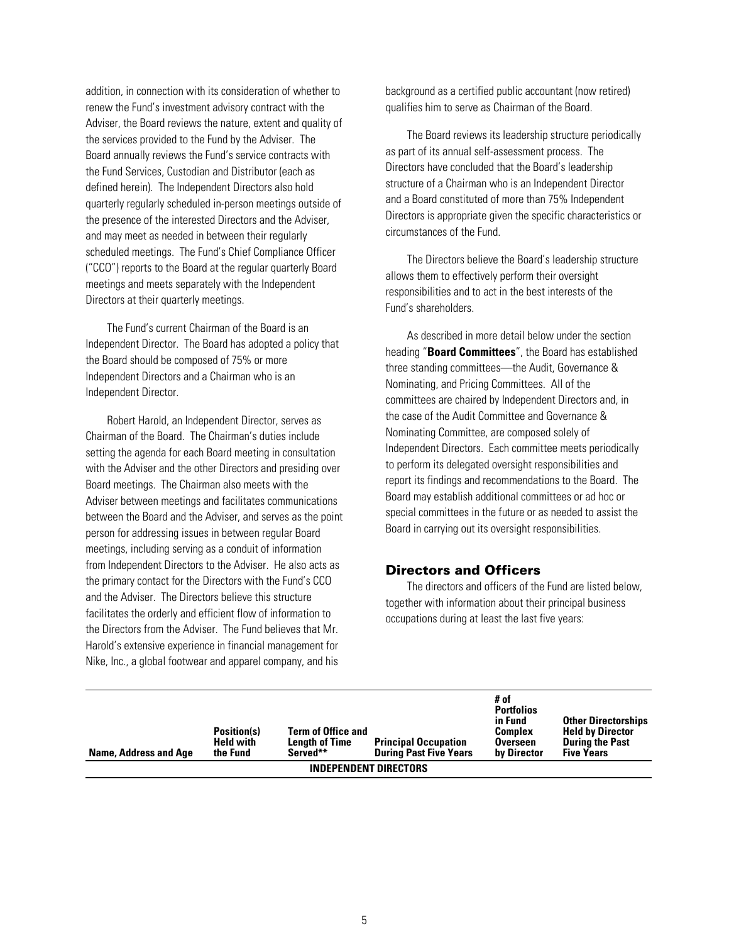<span id="page-7-0"></span>addition, in connection with its consideration of whether to renew the Fund's investment advisory contract with the Adviser, the Board reviews the nature, extent and quality of the services provided to the Fund by the Adviser. The Board annually reviews the Fund's service contracts with the Fund Services, Custodian and Distributor (each as defined herein). The Independent Directors also hold quarterly regularly scheduled in-person meetings outside of the presence of the interested Directors and the Adviser, and may meet as needed in between their regularly scheduled meetings. The Fund's Chief Compliance Officer ("CCO") reports to the Board at the regular quarterly Board meetings and meets separately with the Independent Directors at their quarterly meetings.

The Fund's current Chairman of the Board is an Independent Director. The Board has adopted a policy that the Board should be composed of 75% or more Independent Directors and a Chairman who is an Independent Director.

Robert Harold, an Independent Director, serves as Chairman of the Board. The Chairman's duties include setting the agenda for each Board meeting in consultation with the Adviser and the other Directors and presiding over Board meetings. The Chairman also meets with the Adviser between meetings and facilitates communications between the Board and the Adviser, and serves as the point person for addressing issues in between regular Board meetings, including serving as a conduit of information from Independent Directors to the Adviser. He also acts as the primary contact for the Directors with the Fund's CCO and the Adviser. The Directors believe this structure facilitates the orderly and efficient flow of information to the Directors from the Adviser. The Fund believes that Mr. Harold's extensive experience in financial management for Nike, Inc., a global footwear and apparel company, and his

background as a certified public accountant (now retired) qualifies him to serve as Chairman of the Board.

The Board reviews its leadership structure periodically as part of its annual self-assessment process. The Directors have concluded that the Board's leadership structure of a Chairman who is an Independent Director and a Board constituted of more than 75% Independent Directors is appropriate given the specific characteristics or circumstances of the Fund.

The Directors believe the Board's leadership structure allows them to effectively perform their oversight responsibilities and to act in the best interests of the Fund's shareholders.

As described in more detail below under the section heading "**Board Committees**", the Board has established three standing committees—the Audit, Governance & Nominating, and Pricing Committees. All of the committees are chaired by Independent Directors and, in the case of the Audit Committee and Governance & Nominating Committee, are composed solely of Independent Directors. Each committee meets periodically to perform its delegated oversight responsibilities and report its findings and recommendations to the Board. The Board may establish additional committees or ad hoc or special committees in the future or as needed to assist the Board in carrying out its oversight responsibilities.

## Directors and Officers

The directors and officers of the Fund are listed below, together with information about their principal business occupations during at least the last five years:

| Name, Address and Age        | Position(s)<br><b>Held with</b><br>the Fund | <b>Term of Office and</b><br><b>Length of Time</b><br>Served** | <b>Principal Occupation</b><br><b>During Past Five Years</b> | # of<br><b>Portfolios</b><br>in Fund<br><b>Complex</b><br><b>Overseen</b><br>by Director | <b>Other Directorships</b><br><b>Held by Director</b><br><b>During the Past</b><br><b>Five Years</b> |
|------------------------------|---------------------------------------------|----------------------------------------------------------------|--------------------------------------------------------------|------------------------------------------------------------------------------------------|------------------------------------------------------------------------------------------------------|
| <b>INDEPENDENT DIRECTORS</b> |                                             |                                                                |                                                              |                                                                                          |                                                                                                      |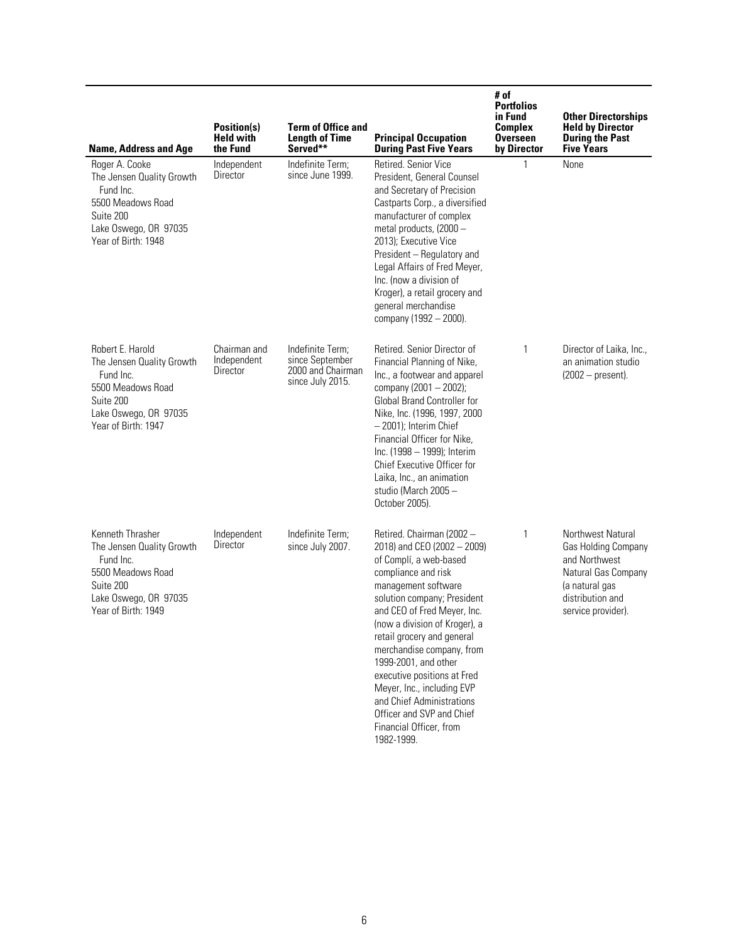| <b>Name, Address and Age</b>                                                                                                                 | <b>Position(s)</b><br><b>Held with</b><br>the Fund | <b>Term of Office and</b><br><b>Length of Time</b><br>Served**               | <b>Principal Occupation</b><br><b>During Past Five Years</b>                                                                                                                                                                                                                                                                                                                                                                                                                       | # of<br><b>Portfolios</b><br>in Fund<br><b>Complex</b><br><b>Overseen</b><br>by Director | <b>Other Directorships</b><br><b>Held by Director</b><br><b>During the Past</b><br><b>Five Years</b>                                         |
|----------------------------------------------------------------------------------------------------------------------------------------------|----------------------------------------------------|------------------------------------------------------------------------------|------------------------------------------------------------------------------------------------------------------------------------------------------------------------------------------------------------------------------------------------------------------------------------------------------------------------------------------------------------------------------------------------------------------------------------------------------------------------------------|------------------------------------------------------------------------------------------|----------------------------------------------------------------------------------------------------------------------------------------------|
| Roger A. Cooke<br>The Jensen Quality Growth<br>Fund Inc.<br>5500 Meadows Road<br>Suite 200<br>Lake Oswego, OR 97035<br>Year of Birth: 1948   | Independent<br>Director                            | Indefinite Term;<br>since June 1999.                                         | Retired, Senior Vice<br>President, General Counsel<br>and Secretary of Precision<br>Castparts Corp., a diversified<br>manufacturer of complex<br>metal products, (2000 -<br>2013); Executive Vice<br>President - Regulatory and<br>Legal Affairs of Fred Meyer,<br>Inc. (now a division of<br>Kroger), a retail grocery and<br>general merchandise<br>company (1992 - 2000).                                                                                                       | 1                                                                                        | None                                                                                                                                         |
| Robert E. Harold<br>The Jensen Quality Growth<br>Fund Inc.<br>5500 Meadows Road<br>Suite 200<br>Lake Oswego, OR 97035<br>Year of Birth: 1947 | Chairman and<br>Independent<br>Director            | Indefinite Term;<br>since September<br>2000 and Chairman<br>since July 2015. | Retired. Senior Director of<br>Financial Planning of Nike,<br>Inc., a footwear and apparel<br>company (2001 - 2002);<br>Global Brand Controller for<br>Nike, Inc. (1996, 1997, 2000)<br>- 2001); Interim Chief<br>Financial Officer for Nike,<br>Inc. (1998 - 1999); Interim<br>Chief Executive Officer for<br>Laika, Inc., an animation<br>studio (March 2005 -<br>October 2005).                                                                                                 | 1                                                                                        | Director of Laika, Inc.,<br>an animation studio<br>$(2002 - present).$                                                                       |
| Kenneth Thrasher<br>The Jensen Quality Growth<br>Fund Inc.<br>5500 Meadows Road<br>Suite 200<br>Lake Oswego, OR 97035<br>Year of Birth: 1949 | Independent<br>Director                            | Indefinite Term;<br>since July 2007.                                         | Retired. Chairman (2002 -<br>2018) and CEO (2002 - 2009)<br>of Complí, a web-based<br>compliance and risk<br>management software<br>solution company; President<br>and CEO of Fred Meyer, Inc.<br>(now a division of Kroger), a<br>retail grocery and general<br>merchandise company, from<br>1999-2001, and other<br>executive positions at Fred<br>Meyer, Inc., including EVP<br>and Chief Administrations<br>Officer and SVP and Chief<br>Financial Officer, from<br>1982-1999. | 1                                                                                        | Northwest Natural<br>Gas Holding Company<br>and Northwest<br>Natural Gas Company<br>(a natural gas<br>distribution and<br>service provider). |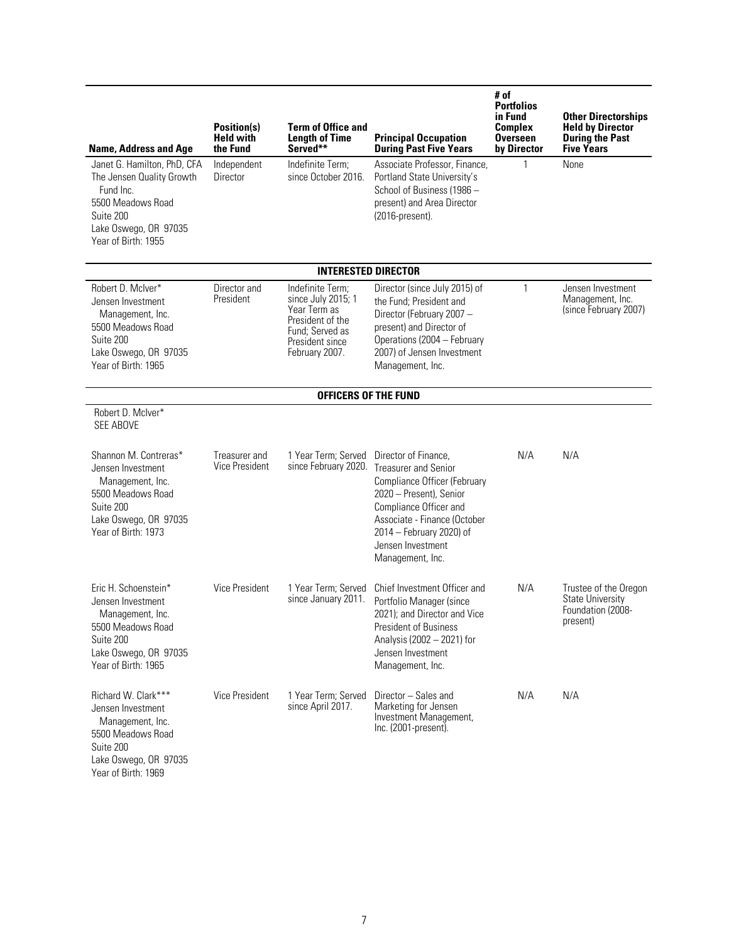| <b>Name, Address and Age</b>                                                                                                                            | <b>Position(s)</b><br><b>Held with</b><br>the Fund | <b>Term of Office and</b><br><b>Length of Time</b><br>Served**                                                                     | <b>Principal Occupation</b><br><b>During Past Five Years</b>                                                                                                                                                                                  | # of<br><b>Portfolios</b><br>in Fund<br><b>Complex</b><br><b>Overseen</b><br>by Director | <b>Other Directorships</b><br><b>Held by Director</b><br><b>During the Past</b><br><b>Five Years</b> |
|---------------------------------------------------------------------------------------------------------------------------------------------------------|----------------------------------------------------|------------------------------------------------------------------------------------------------------------------------------------|-----------------------------------------------------------------------------------------------------------------------------------------------------------------------------------------------------------------------------------------------|------------------------------------------------------------------------------------------|------------------------------------------------------------------------------------------------------|
| Janet G. Hamilton, PhD, CFA<br>The Jensen Quality Growth<br>Fund Inc.<br>5500 Meadows Road<br>Suite 200<br>Lake Oswego, OR 97035<br>Year of Birth: 1955 | Independent<br>Director                            | Indefinite Term;<br>since October 2016.                                                                                            | Associate Professor, Finance,<br>Portland State University's<br>School of Business (1986 -<br>present) and Area Director<br>(2016-present).                                                                                                   |                                                                                          | None                                                                                                 |
|                                                                                                                                                         |                                                    | <b>INTERESTED DIRECTOR</b>                                                                                                         |                                                                                                                                                                                                                                               |                                                                                          |                                                                                                      |
| Robert D. McIver*<br>Jensen Investment<br>Management, Inc.<br>5500 Meadows Road<br>Suite 200<br>Lake Oswego, OR 97035<br>Year of Birth: 1965            | Director and<br>President                          | Indefinite Term;<br>since July 2015; 1<br>Year Term as<br>President of the<br>Fund; Served as<br>President since<br>February 2007. | Director (since July 2015) of<br>the Fund; President and<br>Director (February 2007 -<br>present) and Director of<br>Operations (2004 - February<br>2007) of Jensen Investment<br>Management, Inc.                                            | 1                                                                                        | Jensen Investment<br>Management, Inc.<br>(since February 2007)                                       |
|                                                                                                                                                         |                                                    | <b>OFFICERS OF THE FUND</b>                                                                                                        |                                                                                                                                                                                                                                               |                                                                                          |                                                                                                      |
| Robert D. McIver*<br><b>SEE ABOVE</b>                                                                                                                   |                                                    |                                                                                                                                    |                                                                                                                                                                                                                                               |                                                                                          |                                                                                                      |
| Shannon M. Contreras*<br>Jensen Investment<br>Management, Inc.<br>5500 Meadows Road<br>Suite 200<br>Lake Oswego, OR 97035<br>Year of Birth: 1973        | Treasurer and<br><b>Vice President</b>             | 1 Year Term; Served<br>since February 2020.                                                                                        | Director of Finance,<br><b>Treasurer and Senior</b><br>Compliance Officer (February<br>2020 - Present), Senior<br>Compliance Officer and<br>Associate - Finance (October<br>2014 – February 2020) of<br>Jensen Investment<br>Management, Inc. | N/A                                                                                      | N/A                                                                                                  |
| Eric H. Schoenstein*<br>Jensen Investment<br>Management, Inc.<br>5500 Meadows Road<br>Suite 200<br>Lake Oswego, OR 97035<br>Year of Birth: 1965         | <b>Vice President</b>                              | 1 Year Term; Served<br>since January 2011.                                                                                         | Chief Investment Officer and<br>Portfolio Manager (since<br>2021); and Director and Vice<br>President of Business<br>Analysis (2002 - 2021) for<br>Jensen Investment<br>Management, Inc.                                                      | N/A                                                                                      | Trustee of the Oregon<br><b>State University</b><br>Foundation (2008-<br>present)                    |
| Richard W. Clark***<br>Jensen Investment<br>Management, Inc.<br>5500 Meadows Road<br>Suite 200<br>Lake Oswego, OR 97035<br>Year of Birth: 1969          | <b>Vice President</b>                              | 1 Year Term; Served<br>since April 2017.                                                                                           | Director - Sales and<br>Marketing for Jensen<br>Investment Management,<br>$Inc. (2001-present).$                                                                                                                                              | N/A                                                                                      | N/A                                                                                                  |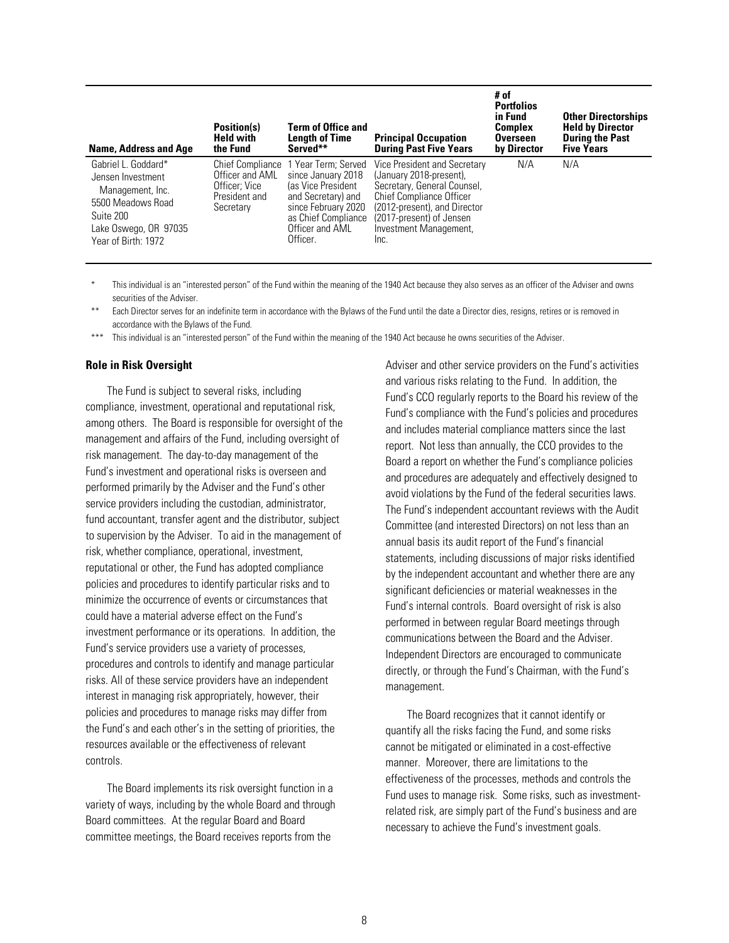| Name, Address and Age                                                                                                                          | Position(s)<br><b>Held with</b><br>the Fund                                        | <b>Term of Office and</b><br><b>Length of Time</b><br>Served**                                                                                                     | <b>Principal Occupation</b><br><b>During Past Five Years</b>                                                                                                                                                            | # of<br><b>Portfolios</b><br>in Fund<br><b>Complex</b><br><b>Overseen</b><br>by Director | <b>Other Directorships</b><br><b>Held by Director</b><br><b>During the Past</b><br><b>Five Years</b> |
|------------------------------------------------------------------------------------------------------------------------------------------------|------------------------------------------------------------------------------------|--------------------------------------------------------------------------------------------------------------------------------------------------------------------|-------------------------------------------------------------------------------------------------------------------------------------------------------------------------------------------------------------------------|------------------------------------------------------------------------------------------|------------------------------------------------------------------------------------------------------|
| Gabriel L. Goddard*<br>Jensen Investment<br>Management, Inc.<br>5500 Meadows Road<br>Suite 200<br>Lake Oswego, OR 97035<br>Year of Birth: 1972 | Chief Compliance<br>Officer and AML<br>Officer: Vice<br>President and<br>Secretary | 1 Year Term: Served<br>since January 2018<br>las Vice President<br>and Secretary) and<br>since February 2020<br>as Chief Compliance<br>Officer and AML<br>Officer. | Vice President and Secretary<br>(January 2018-present),<br>Secretary, General Counsel,<br><b>Chief Compliance Officer</b><br>(2012-present), and Director<br>(2017-present) of Jensen<br>Investment Management,<br>Inc. | N/A                                                                                      | N/A                                                                                                  |

This individual is an "interested person" of the Fund within the meaning of the 1940 Act because they also serves as an officer of the Adviser and owns securities of the Adviser.

Each Director serves for an indefinite term in accordance with the Bylaws of the Fund until the date a Director dies, resigns, retires or is removed in accordance with the Bylaws of the Fund.

This individual is an "interested person" of the Fund within the meaning of the 1940 Act because he owns securities of the Adviser.

#### **Role in Risk Oversight**

The Fund is subject to several risks, including compliance, investment, operational and reputational risk, among others. The Board is responsible for oversight of the management and affairs of the Fund, including oversight of risk management. The day-to-day management of the Fund's investment and operational risks is overseen and performed primarily by the Adviser and the Fund's other service providers including the custodian, administrator, fund accountant, transfer agent and the distributor, subject to supervision by the Adviser. To aid in the management of risk, whether compliance, operational, investment, reputational or other, the Fund has adopted compliance policies and procedures to identify particular risks and to minimize the occurrence of events or circumstances that could have a material adverse effect on the Fund's investment performance or its operations. In addition, the Fund's service providers use a variety of processes, procedures and controls to identify and manage particular risks. All of these service providers have an independent interest in managing risk appropriately, however, their policies and procedures to manage risks may differ from the Fund's and each other's in the setting of priorities, the resources available or the effectiveness of relevant controls.

The Board implements its risk oversight function in a variety of ways, including by the whole Board and through Board committees. At the regular Board and Board committee meetings, the Board receives reports from the

Adviser and other service providers on the Fund's activities and various risks relating to the Fund. In addition, the Fund's CCO regularly reports to the Board his review of the Fund's compliance with the Fund's policies and procedures and includes material compliance matters since the last report. Not less than annually, the CCO provides to the Board a report on whether the Fund's compliance policies and procedures are adequately and effectively designed to avoid violations by the Fund of the federal securities laws. The Fund's independent accountant reviews with the Audit Committee (and interested Directors) on not less than an annual basis its audit report of the Fund's financial statements, including discussions of major risks identified by the independent accountant and whether there are any significant deficiencies or material weaknesses in the Fund's internal controls. Board oversight of risk is also performed in between regular Board meetings through communications between the Board and the Adviser. Independent Directors are encouraged to communicate directly, or through the Fund's Chairman, with the Fund's management.

The Board recognizes that it cannot identify or quantify all the risks facing the Fund, and some risks cannot be mitigated or eliminated in a cost-effective manner. Moreover, there are limitations to the effectiveness of the processes, methods and controls the Fund uses to manage risk. Some risks, such as investmentrelated risk, are simply part of the Fund's business and are necessary to achieve the Fund's investment goals.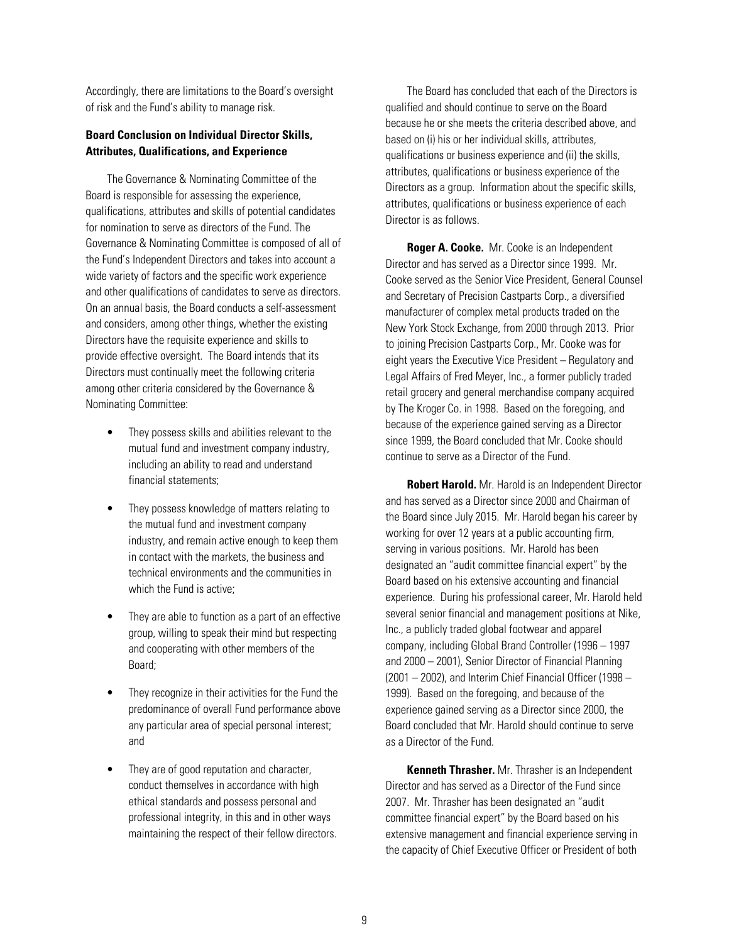Accordingly, there are limitations to the Board's oversight of risk and the Fund's ability to manage risk.

## **Board Conclusion on Individual Director Skills, Attributes, Qualifications, and Experience**

The Governance & Nominating Committee of the Board is responsible for assessing the experience, qualifications, attributes and skills of potential candidates for nomination to serve as directors of the Fund. The Governance & Nominating Committee is composed of all of the Fund's Independent Directors and takes into account a wide variety of factors and the specific work experience and other qualifications of candidates to serve as directors. On an annual basis, the Board conducts a self-assessment and considers, among other things, whether the existing Directors have the requisite experience and skills to provide effective oversight. The Board intends that its Directors must continually meet the following criteria among other criteria considered by the Governance & Nominating Committee:

- They possess skills and abilities relevant to the mutual fund and investment company industry, including an ability to read and understand financial statements;
- They possess knowledge of matters relating to the mutual fund and investment company industry, and remain active enough to keep them in contact with the markets, the business and technical environments and the communities in which the Fund is active;
- They are able to function as a part of an effective group, willing to speak their mind but respecting and cooperating with other members of the Board;
- They recognize in their activities for the Fund the predominance of overall Fund performance above any particular area of special personal interest; and
- They are of good reputation and character, conduct themselves in accordance with high ethical standards and possess personal and professional integrity, in this and in other ways maintaining the respect of their fellow directors.

The Board has concluded that each of the Directors is qualified and should continue to serve on the Board because he or she meets the criteria described above, and based on (i) his or her individual skills, attributes, qualifications or business experience and (ii) the skills, attributes, qualifications or business experience of the Directors as a group. Information about the specific skills, attributes, qualifications or business experience of each Director is as follows.

**Roger A. Cooke.** Mr. Cooke is an Independent Director and has served as a Director since 1999. Mr. Cooke served as the Senior Vice President, General Counsel and Secretary of Precision Castparts Corp., a diversified manufacturer of complex metal products traded on the New York Stock Exchange, from 2000 through 2013. Prior to joining Precision Castparts Corp., Mr. Cooke was for eight years the Executive Vice President – Regulatory and Legal Affairs of Fred Meyer, Inc., a former publicly traded retail grocery and general merchandise company acquired by The Kroger Co. in 1998. Based on the foregoing, and because of the experience gained serving as a Director since 1999, the Board concluded that Mr. Cooke should continue to serve as a Director of the Fund.

**Robert Harold.** Mr. Harold is an Independent Director and has served as a Director since 2000 and Chairman of the Board since July 2015. Mr. Harold began his career by working for over 12 years at a public accounting firm, serving in various positions. Mr. Harold has been designated an "audit committee financial expert" by the Board based on his extensive accounting and financial experience. During his professional career, Mr. Harold held several senior financial and management positions at Nike, Inc., a publicly traded global footwear and apparel company, including Global Brand Controller (1996 – 1997 and 2000 – 2001), Senior Director of Financial Planning (2001 – 2002), and Interim Chief Financial Officer (1998 – 1999). Based on the foregoing, and because of the experience gained serving as a Director since 2000, the Board concluded that Mr. Harold should continue to serve as a Director of the Fund.

**Kenneth Thrasher.** Mr. Thrasher is an Independent Director and has served as a Director of the Fund since 2007. Mr. Thrasher has been designated an "audit committee financial expert" by the Board based on his extensive management and financial experience serving in the capacity of Chief Executive Officer or President of both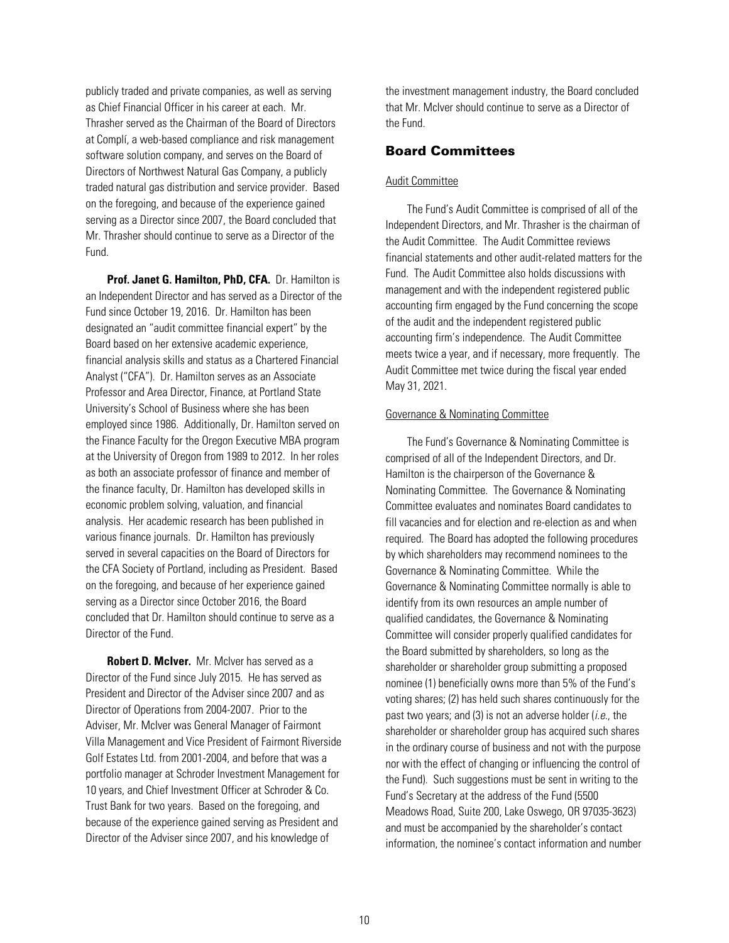<span id="page-12-0"></span>publicly traded and private companies, as well as serving as Chief Financial Officer in his career at each. Mr. Thrasher served as the Chairman of the Board of Directors at Complí, a web-based compliance and risk management software solution company, and serves on the Board of Directors of Northwest Natural Gas Company, a publicly traded natural gas distribution and service provider. Based on the foregoing, and because of the experience gained serving as a Director since 2007, the Board concluded that Mr. Thrasher should continue to serve as a Director of the Fund.

**Prof. Janet G. Hamilton, PhD, CFA.** Dr. Hamilton is an Independent Director and has served as a Director of the Fund since October 19, 2016. Dr. Hamilton has been designated an "audit committee financial expert" by the Board based on her extensive academic experience, financial analysis skills and status as a Chartered Financial Analyst ("CFA"). Dr. Hamilton serves as an Associate Professor and Area Director, Finance, at Portland State University's School of Business where she has been employed since 1986. Additionally, Dr. Hamilton served on the Finance Faculty for the Oregon Executive MBA program at the University of Oregon from 1989 to 2012. In her roles as both an associate professor of finance and member of the finance faculty, Dr. Hamilton has developed skills in economic problem solving, valuation, and financial analysis. Her academic research has been published in various finance journals. Dr. Hamilton has previously served in several capacities on the Board of Directors for the CFA Society of Portland, including as President. Based on the foregoing, and because of her experience gained serving as a Director since October 2016, the Board concluded that Dr. Hamilton should continue to serve as a Director of the Fund.

**Robert D. McIver.** Mr. McIver has served as a Director of the Fund since July 2015. He has served as President and Director of the Adviser since 2007 and as Director of Operations from 2004-2007. Prior to the Adviser, Mr. McIver was General Manager of Fairmont Villa Management and Vice President of Fairmont Riverside Golf Estates Ltd. from 2001-2004, and before that was a portfolio manager at Schroder Investment Management for 10 years, and Chief Investment Officer at Schroder & Co. Trust Bank for two years. Based on the foregoing, and because of the experience gained serving as President and Director of the Adviser since 2007, and his knowledge of

the investment management industry, the Board concluded that Mr. McIver should continue to serve as a Director of the Fund.

## Board Committees

#### Audit Committee

The Fund's Audit Committee is comprised of all of the Independent Directors, and Mr. Thrasher is the chairman of the Audit Committee. The Audit Committee reviews financial statements and other audit-related matters for the Fund. The Audit Committee also holds discussions with management and with the independent registered public accounting firm engaged by the Fund concerning the scope of the audit and the independent registered public accounting firm's independence. The Audit Committee meets twice a year, and if necessary, more frequently. The Audit Committee met twice during the fiscal year ended May 31, 2021.

#### Governance & Nominating Committee

The Fund's Governance & Nominating Committee is comprised of all of the Independent Directors, and Dr. Hamilton is the chairperson of the Governance & Nominating Committee. The Governance & Nominating Committee evaluates and nominates Board candidates to fill vacancies and for election and re-election as and when required. The Board has adopted the following procedures by which shareholders may recommend nominees to the Governance & Nominating Committee. While the Governance & Nominating Committee normally is able to identify from its own resources an ample number of qualified candidates, the Governance & Nominating Committee will consider properly qualified candidates for the Board submitted by shareholders, so long as the shareholder or shareholder group submitting a proposed nominee (1) beneficially owns more than 5% of the Fund's voting shares; (2) has held such shares continuously for the past two years; and (3) is not an adverse holder (*i.e.*, the shareholder or shareholder group has acquired such shares in the ordinary course of business and not with the purpose nor with the effect of changing or influencing the control of the Fund). Such suggestions must be sent in writing to the Fund's Secretary at the address of the Fund (5500 Meadows Road, Suite 200, Lake Oswego, OR 97035-3623) and must be accompanied by the shareholder's contact information, the nominee's contact information and number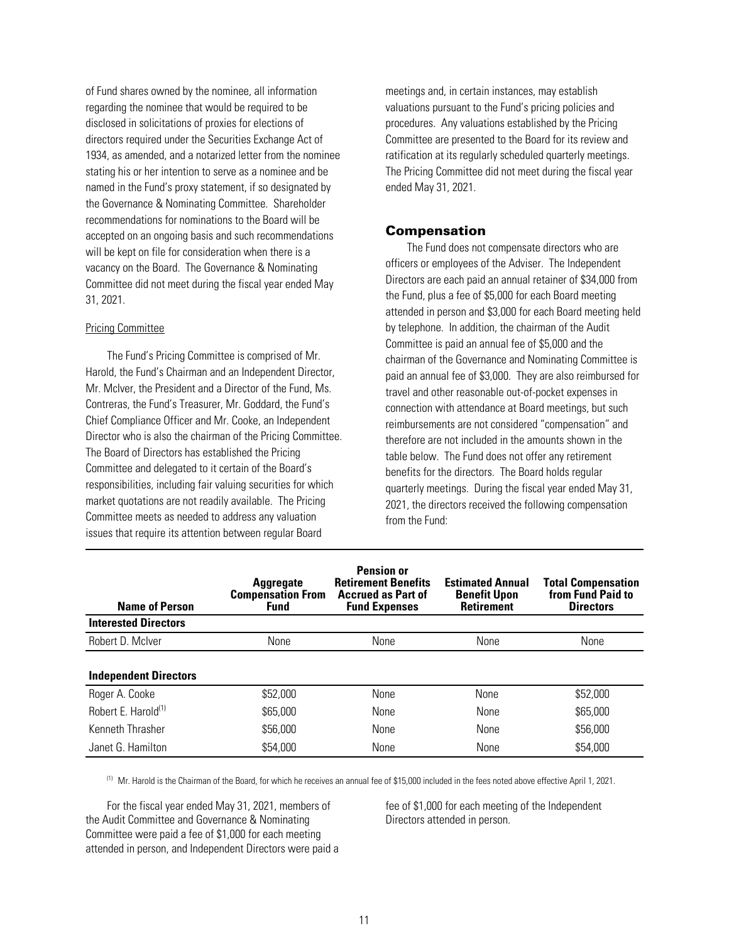<span id="page-13-0"></span>of Fund shares owned by the nominee, all information regarding the nominee that would be required to be disclosed in solicitations of proxies for elections of directors required under the Securities Exchange Act of 1934, as amended, and a notarized letter from the nominee stating his or her intention to serve as a nominee and be named in the Fund's proxy statement, if so designated by the Governance & Nominating Committee. Shareholder recommendations for nominations to the Board will be accepted on an ongoing basis and such recommendations will be kept on file for consideration when there is a vacancy on the Board. The Governance & Nominating Committee did not meet during the fiscal year ended May 31, 2021.

#### Pricing Committee

The Fund's Pricing Committee is comprised of Mr. Harold, the Fund's Chairman and an Independent Director, Mr. McIver, the President and a Director of the Fund, Ms. Contreras, the Fund's Treasurer, Mr. Goddard, the Fund's Chief Compliance Officer and Mr. Cooke, an Independent Director who is also the chairman of the Pricing Committee. The Board of Directors has established the Pricing Committee and delegated to it certain of the Board's responsibilities, including fair valuing securities for which market quotations are not readily available. The Pricing Committee meets as needed to address any valuation issues that require its attention between regular Board

meetings and, in certain instances, may establish valuations pursuant to the Fund's pricing policies and procedures. Any valuations established by the Pricing Committee are presented to the Board for its review and ratification at its regularly scheduled quarterly meetings. The Pricing Committee did not meet during the fiscal year ended May 31, 2021.

## Compensation

The Fund does not compensate directors who are officers or employees of the Adviser. The Independent Directors are each paid an annual retainer of \$34,000 from the Fund, plus a fee of \$5,000 for each Board meeting attended in person and \$3,000 for each Board meeting held by telephone. In addition, the chairman of the Audit Committee is paid an annual fee of \$5,000 and the chairman of the Governance and Nominating Committee is paid an annual fee of \$3,000. They are also reimbursed for travel and other reasonable out-of-pocket expenses in connection with attendance at Board meetings, but such reimbursements are not considered "compensation" and therefore are not included in the amounts shown in the table below. The Fund does not offer any retirement benefits for the directors. The Board holds regular quarterly meetings. During the fiscal year ended May 31, 2021, the directors received the following compensation from the Fund:

| <b>Name of Person</b>           | <b>Aggregate</b><br><b>Compensation From</b><br><b>Fund</b> | <b>Pension or</b><br><b>Retirement Benefits</b><br><b>Accrued as Part of</b><br><b>Fund Expenses</b> | <b>Estimated Annual</b><br><b>Benefit Upon</b><br><b>Retirement</b> | <b>Total Compensation</b><br>from Fund Paid to<br><b>Directors</b> |
|---------------------------------|-------------------------------------------------------------|------------------------------------------------------------------------------------------------------|---------------------------------------------------------------------|--------------------------------------------------------------------|
| <b>Interested Directors</b>     |                                                             |                                                                                                      |                                                                     |                                                                    |
| Robert D. McIver                | None                                                        | None                                                                                                 | None                                                                | None                                                               |
|                                 |                                                             |                                                                                                      |                                                                     |                                                                    |
| <b>Independent Directors</b>    |                                                             |                                                                                                      |                                                                     |                                                                    |
| Roger A. Cooke                  | \$52,000                                                    | None                                                                                                 | None                                                                | \$52,000                                                           |
| Robert E. Harold <sup>(1)</sup> | \$65,000                                                    | None                                                                                                 | None                                                                | \$65,000                                                           |
| Kenneth Thrasher                | \$56,000                                                    | None                                                                                                 | None                                                                | \$56,000                                                           |
| Janet G. Hamilton               | \$54,000                                                    | None                                                                                                 | None                                                                | \$54,000                                                           |

(1) Mr. Harold is the Chairman of the Board, for which he receives an annual fee of \$15,000 included in the fees noted above effective April 1, 2021.

For the fiscal year ended May 31, 2021, members of the Audit Committee and Governance & Nominating Committee were paid a fee of \$1,000 for each meeting attended in person, and Independent Directors were paid a fee of \$1,000 for each meeting of the Independent Directors attended in person.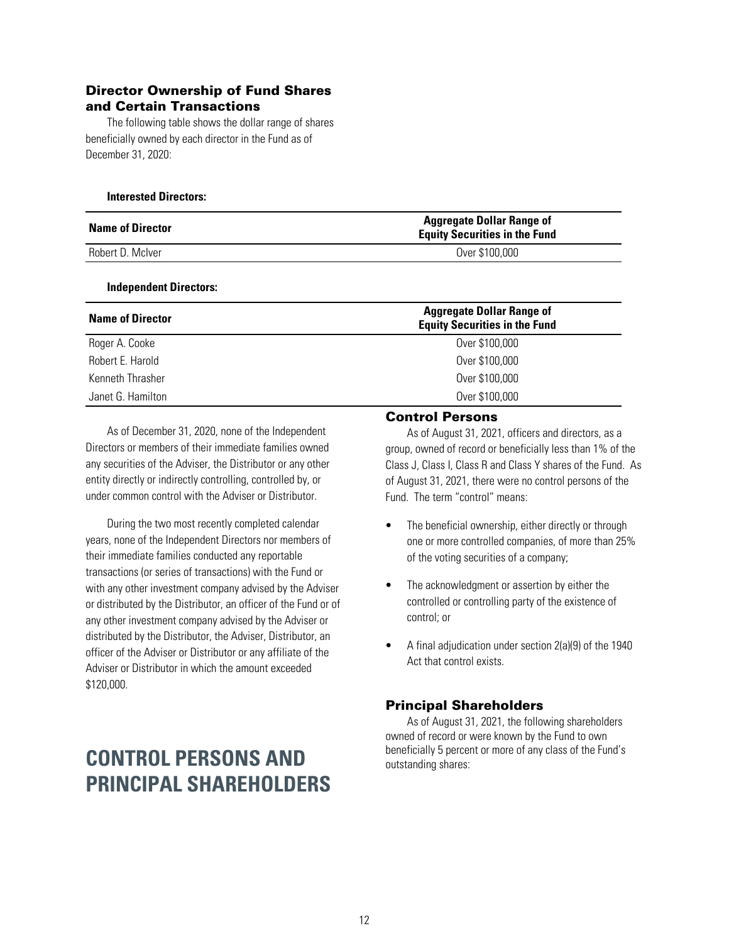## <span id="page-14-0"></span>Director Ownership of Fund Shares and Certain Transactions

The following table shows the dollar range of shares beneficially owned by each director in the Fund as of December 31, 2020:

### **Interested Directors:**

| <b>Name of Director</b> | <b>Aggregate Dollar Range of</b><br><b>Equity Securities in the Fund</b> |  |  |
|-------------------------|--------------------------------------------------------------------------|--|--|
| Robert D. McIver        | Over \$100,000                                                           |  |  |

### **Independent Directors:**

| <b>Name of Director</b> | <b>Aggregate Dollar Range of</b><br><b>Equity Securities in the Fund</b> |
|-------------------------|--------------------------------------------------------------------------|
| Roger A. Cooke          | Over \$100,000                                                           |
| Robert E. Harold        | Over \$100,000                                                           |
| Kenneth Thrasher        | Over \$100,000                                                           |
| Janet G. Hamilton       | Over \$100,000                                                           |

As of December 31, 2020, none of the Independent Directors or members of their immediate families owned any securities of the Adviser, the Distributor or any other entity directly or indirectly controlling, controlled by, or under common control with the Adviser or Distributor.

During the two most recently completed calendar years, none of the Independent Directors nor members of their immediate families conducted any reportable transactions (or series of transactions) with the Fund or with any other investment company advised by the Adviser or distributed by the Distributor, an officer of the Fund or of any other investment company advised by the Adviser or distributed by the Distributor, the Adviser, Distributor, an officer of the Adviser or Distributor or any affiliate of the Adviser or Distributor in which the amount exceeded \$120,000.

# **CONTROL PERSONS AND PRINCIPAL SHAREHOLDERS**

## Control Persons

As of August 31, 2021, officers and directors, as a group, owned of record or beneficially less than 1% of the Class J, Class I, Class R and Class Y shares of the Fund. As of August 31, 2021, there were no control persons of the Fund. The term "control" means:

- The beneficial ownership, either directly or through one or more controlled companies, of more than 25% of the voting securities of a company;
- The acknowledgment or assertion by either the controlled or controlling party of the existence of control; or
- A final adjudication under section 2(a)(9) of the 1940 Act that control exists.

## Principal Shareholders

As of August 31, 2021, the following shareholders owned of record or were known by the Fund to own beneficially 5 percent or more of any class of the Fund's outstanding shares: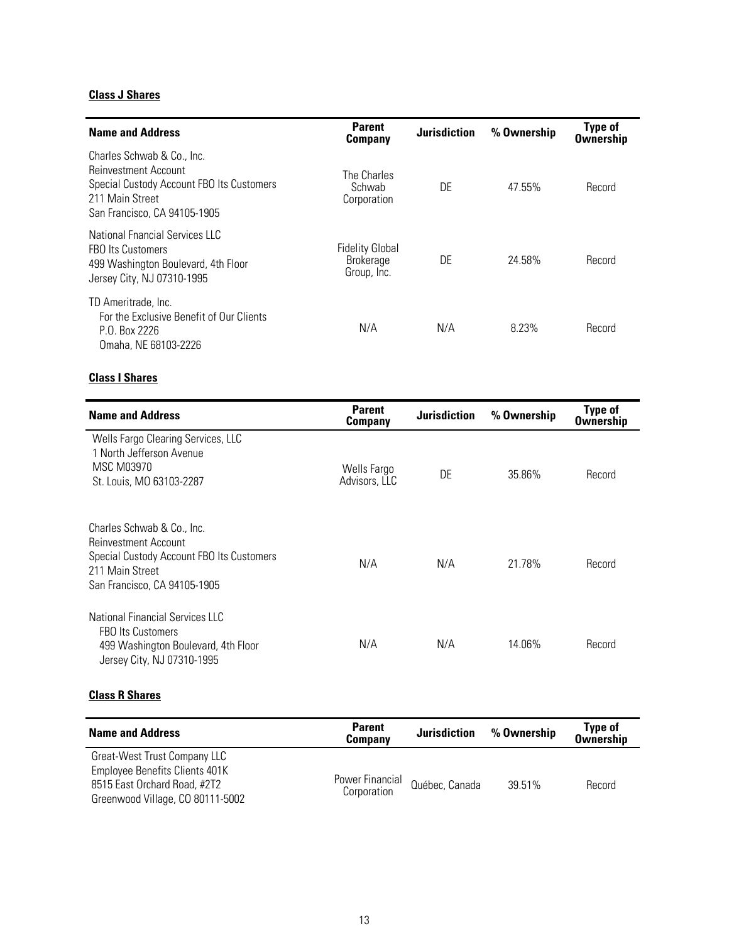# **Class J Shares**

| <b>Name and Address</b>                                                                                                                            | <b>Parent</b><br>Company                                  | <b>Jurisdiction</b> | % Ownership | <b>Type of</b><br><b>Ownership</b> |
|----------------------------------------------------------------------------------------------------------------------------------------------------|-----------------------------------------------------------|---------------------|-------------|------------------------------------|
| Charles Schwab & Co., Inc.<br>Reinvestment Account<br>Special Custody Account FBO Its Customers<br>211 Main Street<br>San Francisco, CA 94105-1905 | The Charles<br>Schwab<br>Corporation                      | DE                  | 47.55%      | Record                             |
| National Enancial Services IIC<br><b>FBO Its Customers</b><br>499 Washington Boulevard, 4th Floor<br>Jersey City, NJ 07310-1995                    | <b>Fidelity Global</b><br><b>Brokerage</b><br>Group, Inc. | DE                  | 24.58%      | Record                             |
| TD Ameritrade, Inc.<br>For the Exclusive Benefit of Our Clients<br>P.O. Box 2226<br>Omaha, NE 68103-2226                                           | N/A                                                       | N/A                 | 8.23%       | Record                             |

# **Class I Shares**

| <b>Name and Address</b>                                                                                                                            | <b>Parent</b><br><b>Company</b> | <b>Jurisdiction</b> | % Ownership | <b>Type of</b><br><b>Ownership</b> |
|----------------------------------------------------------------------------------------------------------------------------------------------------|---------------------------------|---------------------|-------------|------------------------------------|
| Wells Fargo Clearing Services, LLC<br>1 North Jefferson Avenue<br><b>MSC M03970</b><br>St. Louis, MO 63103-2287                                    | Wells Fargo<br>Advisors, LLC    | DE                  | 35.86%      | Record                             |
| Charles Schwab & Co., Inc.<br>Reinvestment Account<br>Special Custody Account FBO Its Customers<br>211 Main Street<br>San Francisco, CA 94105-1905 | N/A                             | N/A                 | 21.78%      | Record                             |
| National Financial Services LLC<br><b>FBO Its Customers</b><br>499 Washington Boulevard, 4th Floor<br>Jersey City, NJ 07310-1995                   | N/A                             | N/A                 | 14.06%      | Record                             |

# **Class R Shares**

| <b>Name and Address</b>                                                                                                            | <b>Parent</b><br><b>Company</b> | <b>Jurisdiction</b> | % Ownership | <b>Type of</b><br><b>Ownership</b> |
|------------------------------------------------------------------------------------------------------------------------------------|---------------------------------|---------------------|-------------|------------------------------------|
| Great-West Trust Company LLC<br>Employee Benefits Clients 401K<br>8515 East Orchard Road, #2T2<br>Greenwood Village, CO 80111-5002 | Power Financial<br>Corporation  | Québec, Canada      | 39.51%      | Record                             |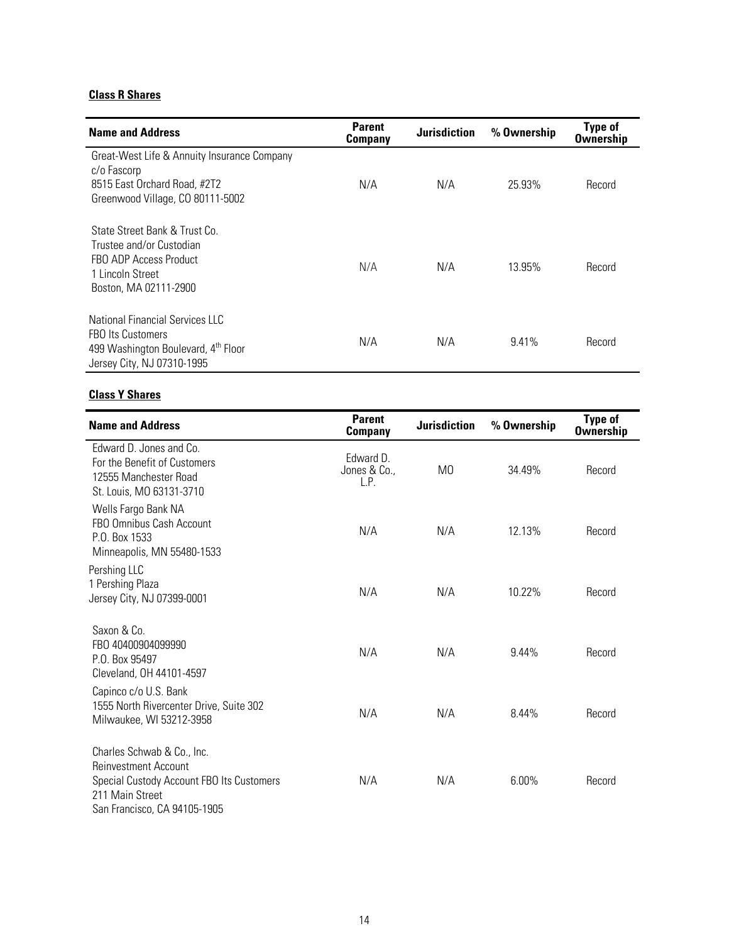# **Class R Shares**

| <b>Name and Address</b>                                                                                                          | <b>Parent</b><br><b>Company</b> | <b>Jurisdiction</b> | % Ownership | <b>Type of</b><br><b>Ownership</b> |
|----------------------------------------------------------------------------------------------------------------------------------|---------------------------------|---------------------|-------------|------------------------------------|
| Great-West Life & Annuity Insurance Company<br>c/o Fascorp<br>8515 East Orchard Road, #2T2<br>Greenwood Village, CO 80111-5002   | N/A                             | N/A                 | 25.93%      | Record                             |
| State Street Bank & Trust Co.<br>Trustee and/or Custodian<br>FBO ADP Access Product<br>1 Lincoln Street<br>Boston, MA 02111-2900 | N/A                             | N/A                 | 13.95%      | Record                             |
| National Financial Services IIC<br><b>FBO Its Customers</b><br>499 Washington Boulevard, 4th Floor<br>Jersey City, NJ 07310-1995 | N/A                             | N/A                 | 9.41%       | Record                             |

# **Class Y Shares**

| <b>Name and Address</b>                                                                                                                                   | <b>Parent</b><br>Company          | <b>Jurisdiction</b> | % Ownership | <b>Type of</b><br><b>Ownership</b> |
|-----------------------------------------------------------------------------------------------------------------------------------------------------------|-----------------------------------|---------------------|-------------|------------------------------------|
| Edward D. Jones and Co.<br>For the Benefit of Customers<br>12555 Manchester Road<br>St. Louis, MO 63131-3710                                              | Edward D.<br>Jones & Co.,<br>L.P. | M0                  | 34.49%      | Record                             |
| Wells Fargo Bank NA<br>FBO Omnibus Cash Account<br>P.O. Box 1533<br>Minneapolis, MN 55480-1533                                                            | N/A                               | N/A                 | 12.13%      | Record                             |
| Pershing LLC<br>1 Pershing Plaza<br>Jersey City, NJ 07399-0001                                                                                            | N/A                               | N/A                 | 10.22%      | Record                             |
| Saxon & Co.<br>FBO 40400904099990<br>P.O. Box 95497<br>Cleveland, OH 44101-4597                                                                           | N/A                               | N/A                 | $9.44\%$    | Record                             |
| Capinco c/o U.S. Bank<br>1555 North Rivercenter Drive, Suite 302<br>Milwaukee, WI 53212-3958                                                              | N/A                               | N/A                 | 8.44%       | Record                             |
| Charles Schwab & Co., Inc.<br><b>Reinvestment Account</b><br>Special Custody Account FBO Its Customers<br>211 Main Street<br>San Francisco, CA 94105-1905 | N/A                               | N/A                 | 6.00%       | Record                             |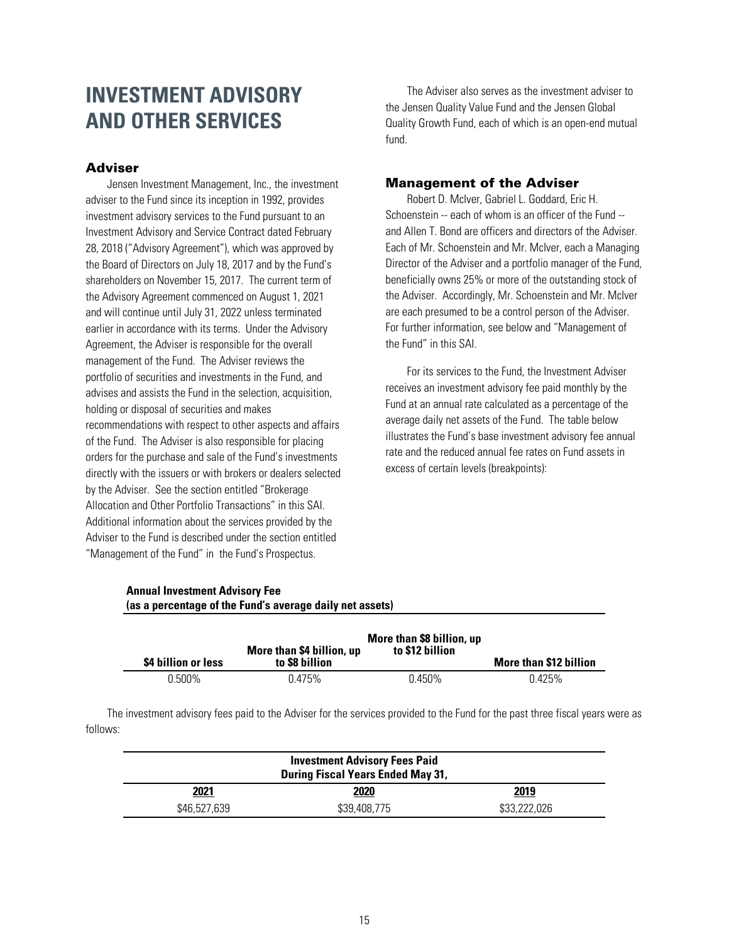# <span id="page-17-0"></span>**INVESTMENT ADVISORY AND OTHER SERVICES**

## Adviser

Jensen Investment Management, Inc., the investment adviser to the Fund since its inception in 1992, provides investment advisory services to the Fund pursuant to an Investment Advisory and Service Contract dated February 28, 2018 ("Advisory Agreement"), which was approved by the Board of Directors on July 18, 2017 and by the Fund's shareholders on November 15, 2017. The current term of the Advisory Agreement commenced on August 1, 2021 and will continue until July 31, 2022 unless terminated earlier in accordance with its terms. Under the Advisory Agreement, the Adviser is responsible for the overall management of the Fund. The Adviser reviews the portfolio of securities and investments in the Fund, and advises and assists the Fund in the selection, acquisition, holding or disposal of securities and makes recommendations with respect to other aspects and affairs of the Fund. The Adviser is also responsible for placing orders for the purchase and sale of the Fund's investments directly with the issuers or with brokers or dealers selected by the Adviser. See the section entitled "Brokerage Allocation and Other Portfolio Transactions" in this SAI. Additional information about the services provided by the Adviser to the Fund is described under the section entitled "Management of the Fund" in the Fund's Prospectus.

**Annual Investment Advisory Fee**

**(as a percentage of the Fund's average daily net assets)**

The Adviser also serves as the investment adviser to the Jensen Quality Value Fund and the Jensen Global Quality Growth Fund, each of which is an open-end mutual fund.

## Management of the Adviser

Robert D. McIver, Gabriel L. Goddard, Eric H. Schoenstein -- each of whom is an officer of the Fund - and Allen T. Bond are officers and directors of the Adviser. Each of Mr. Schoenstein and Mr. McIver, each a Managing Director of the Adviser and a portfolio manager of the Fund, beneficially owns 25% or more of the outstanding stock of the Adviser. Accordingly, Mr. Schoenstein and Mr. McIver are each presumed to be a control person of the Adviser. For further information, see below and "Management of the Fund" in this SAI.

For its services to the Fund, the Investment Adviser receives an investment advisory fee paid monthly by the Fund at an annual rate calculated as a percentage of the average daily net assets of the Fund. The table below illustrates the Fund's base investment advisory fee annual rate and the reduced annual fee rates on Fund assets in excess of certain levels (breakpoints):

| \$4 billion or less | More than \$4 billion, up<br>to \$8 billion | More than \$8 billion, up<br>to \$12 billion | More than \$12 billion |
|---------------------|---------------------------------------------|----------------------------------------------|------------------------|
| $0.500\%$           | 0.475%                                      | 0.450%                                       | 0.425%                 |

The investment advisory fees paid to the Adviser for the services provided to the Fund for the past three fiscal years were as follows:

| <b>Investment Advisory Fees Paid</b><br><b>During Fiscal Years Ended May 31,</b> |              |              |  |
|----------------------------------------------------------------------------------|--------------|--------------|--|
| 2021                                                                             | 2020         | 2019         |  |
| \$46,527,639                                                                     | \$39,408,775 | \$33,222,026 |  |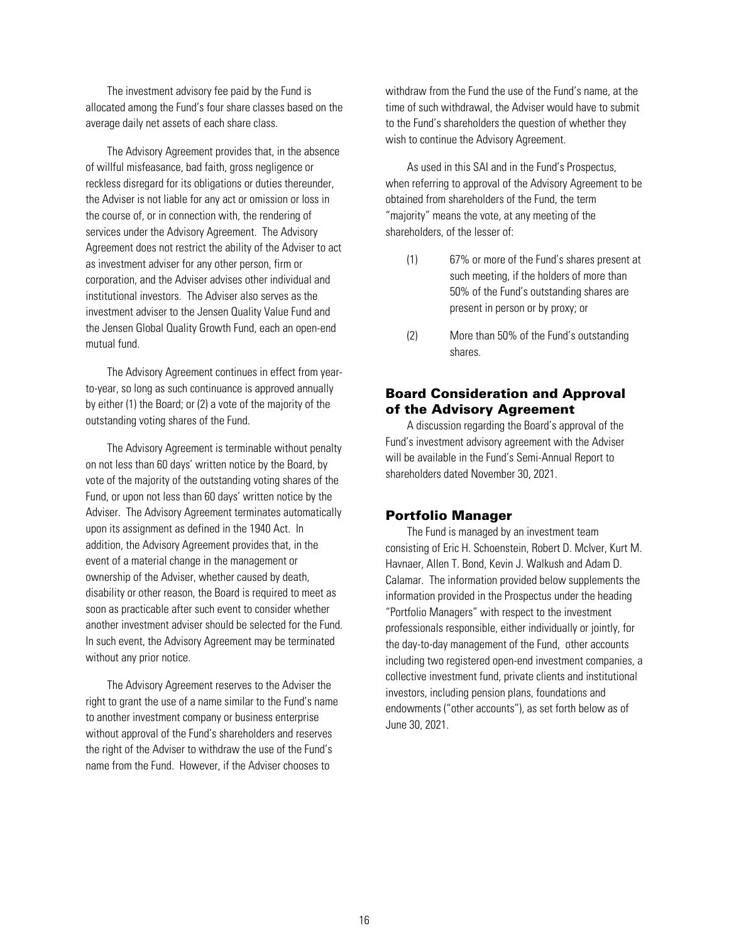<span id="page-18-0"></span>The investment advisory fee paid by the Fund is allocated among the Fund's four share classes based on the average daily net assets of each share class.

The Advisory Agreement provides that, in the absence of willful misfeasance, bad faith, gross negligence or reckless disregard for its obligations or duties thereunder, the Adviser is not liable for any act or omission or loss in the course of, or in connection with, the rendering of services under the Advisory Agreement. The Advisory Agreement does not restrict the ability of the Adviser to act as investment adviser for any other person, firm or corporation, and the Adviser advises other individual and institutional investors. The Adviser also serves as the investment adviser to the Jensen Quality Value Fund and the Jensen Global Quality Growth Fund, each an open-end mutual fund.

The Advisory Agreement continues in effect from yearto-year, so long as such continuance is approved annually by either (1) the Board; or (2) a vote of the majority of the outstanding voting shares of the Fund.

The Advisory Agreement is terminable without penalty on not less than 60 days' written notice by the Board, by vote of the majority of the outstanding voting shares of the Fund, or upon not less than 60 days' written notice by the Adviser. The Advisory Agreement terminates automatically upon its assignment as defined in the 1940 Act. In addition, the Advisory Agreement provides that, in the event of a material change in the management or ownership of the Adviser, whether caused by death, disability or other reason, the Board is required to meet as soon as practicable after such event to consider whether another investment adviser should be selected for the Fund. In such event, the Advisory Agreement may be terminated without any prior notice.

The Advisory Agreement reserves to the Adviser the right to grant the use of a name similar to the Fund's name to another investment company or business enterprise without approval of the Fund's shareholders and reserves the right of the Adviser to withdraw the use of the Fund's name from the Fund. However, if the Adviser chooses to

withdraw from the Fund the use of the Fund's name, at the time of such withdrawal, the Adviser would have to submit to the Fund's shareholders the question of whether they wish to continue the Advisory Agreement.

As used in this SAI and in the Fund's Prospectus, when referring to approval of the Advisory Agreement to be obtained from shareholders of the Fund, the term "majority" means the vote, at any meeting of the shareholders, of the lesser of:

- (1) 67% or more of the Fund's shares present at such meeting, if the holders of more than 50% of the Fund's outstanding shares are present in person or by proxy; or
- (2) More than 50% of the Fund's outstanding shares.

## Board Consideration and Approval of the Advisory Agreement

A discussion regarding the Board's approval of the Fund's investment advisory agreement with the Adviser will be available in the Fund's Semi-Annual Report to shareholders dated November 30, 2021.

## Portfolio Manager

The Fund is managed by an investment team consisting of Eric H. Schoenstein, Robert D. McIver, Kurt M. Havnaer, Allen T. Bond, Kevin J. Walkush and Adam D. Calamar. The information provided below supplements the information provided in the Prospectus under the heading "Portfolio Managers" with respect to the investment professionals responsible, either individually or jointly, for the day-to-day management of the Fund, other accounts including two registered open-end investment companies, a collective investment fund, private clients and institutional investors, including pension plans, foundations and endowments ("other accounts"), as set forth below as of June 30, 2021.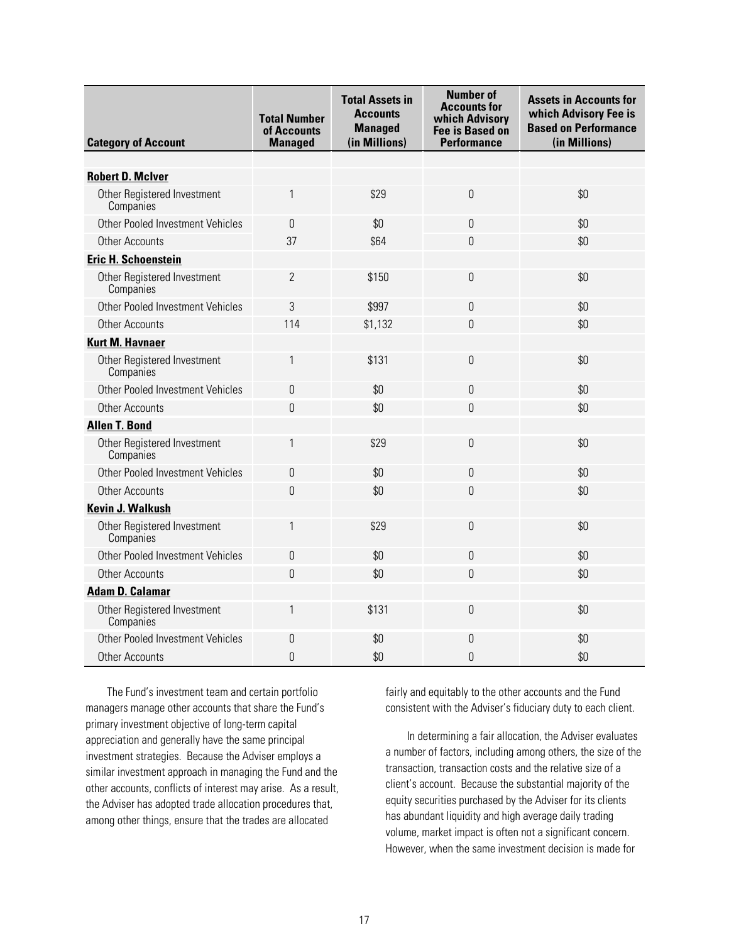| <b>Category of Account</b>               | <b>Total Number</b><br>of Accounts<br><b>Managed</b> | <b>Total Assets in</b><br><b>Accounts</b><br><b>Managed</b><br>(in Millions) | <b>Number of</b><br><b>Accounts for</b><br>which Advisory<br><b>Fee is Based on</b><br><b>Performance</b> | <b>Assets in Accounts for</b><br>which Advisory Fee is<br><b>Based on Performance</b><br>(in Millions) |
|------------------------------------------|------------------------------------------------------|------------------------------------------------------------------------------|-----------------------------------------------------------------------------------------------------------|--------------------------------------------------------------------------------------------------------|
|                                          |                                                      |                                                                              |                                                                                                           |                                                                                                        |
| <b>Robert D. McIver</b>                  |                                                      |                                                                              |                                                                                                           |                                                                                                        |
| Other Registered Investment<br>Companies | 1                                                    | \$29                                                                         | 0                                                                                                         | \$0                                                                                                    |
| Other Pooled Investment Vehicles         | $\theta$                                             | \$0                                                                          | $\overline{0}$                                                                                            | \$0                                                                                                    |
| <b>Other Accounts</b>                    | 37                                                   | \$64                                                                         | 0                                                                                                         | \$0                                                                                                    |
| <b>Eric H. Schoenstein</b>               |                                                      |                                                                              |                                                                                                           |                                                                                                        |
| Other Registered Investment<br>Companies | $\overline{2}$                                       | \$150                                                                        | $\Omega$                                                                                                  | \$0                                                                                                    |
| Other Pooled Investment Vehicles         | 3                                                    | \$997                                                                        | $\overline{0}$                                                                                            | \$0                                                                                                    |
| <b>Other Accounts</b>                    | 114                                                  | \$1,132                                                                      | $\overline{0}$                                                                                            | \$0                                                                                                    |
| <b>Kurt M. Havnaer</b>                   |                                                      |                                                                              |                                                                                                           |                                                                                                        |
| Other Registered Investment<br>Companies | 1                                                    | \$131                                                                        | $\overline{0}$                                                                                            | \$0                                                                                                    |
| Other Pooled Investment Vehicles         | 0                                                    | \$0                                                                          | $\Omega$                                                                                                  | \$0                                                                                                    |
| <b>Other Accounts</b>                    | $\overline{0}$                                       | \$0                                                                          | $\Omega$                                                                                                  | \$0                                                                                                    |
| <b>Allen T. Bond</b>                     |                                                      |                                                                              |                                                                                                           |                                                                                                        |
| Other Registered Investment<br>Companies | 1                                                    | \$29                                                                         | 0                                                                                                         | \$0                                                                                                    |
| Other Pooled Investment Vehicles         | $\mathbf 0$                                          | \$0                                                                          | 0                                                                                                         | \$0                                                                                                    |
| <b>Other Accounts</b>                    | 0                                                    | \$0                                                                          | $\overline{0}$                                                                                            | \$0                                                                                                    |
| <b>Kevin J. Walkush</b>                  |                                                      |                                                                              |                                                                                                           |                                                                                                        |
| Other Registered Investment<br>Companies | 1                                                    | \$29                                                                         | $\overline{0}$                                                                                            | \$0                                                                                                    |
| Other Pooled Investment Vehicles         | $\boldsymbol{0}$                                     | \$0                                                                          | $\boldsymbol{0}$                                                                                          | \$0                                                                                                    |
| <b>Other Accounts</b>                    | 0                                                    | \$0                                                                          | 0                                                                                                         | \$0                                                                                                    |
| <b>Adam D. Calamar</b>                   |                                                      |                                                                              |                                                                                                           |                                                                                                        |
| Other Registered Investment<br>Companies | 1                                                    | \$131                                                                        | $\overline{0}$                                                                                            | \$0                                                                                                    |
| Other Pooled Investment Vehicles         | 0                                                    | \$0                                                                          | 0                                                                                                         | \$0                                                                                                    |
| <b>Other Accounts</b>                    | $\theta$                                             | \$0                                                                          | $\overline{0}$                                                                                            | \$0                                                                                                    |

The Fund's investment team and certain portfolio managers manage other accounts that share the Fund's primary investment objective of long-term capital appreciation and generally have the same principal investment strategies. Because the Adviser employs a similar investment approach in managing the Fund and the other accounts, conflicts of interest may arise. As a result, the Adviser has adopted trade allocation procedures that, among other things, ensure that the trades are allocated

fairly and equitably to the other accounts and the Fund consistent with the Adviser's fiduciary duty to each client.

In determining a fair allocation, the Adviser evaluates a number of factors, including among others, the size of the transaction, transaction costs and the relative size of a client's account. Because the substantial majority of the equity securities purchased by the Adviser for its clients has abundant liquidity and high average daily trading volume, market impact is often not a significant concern. However, when the same investment decision is made for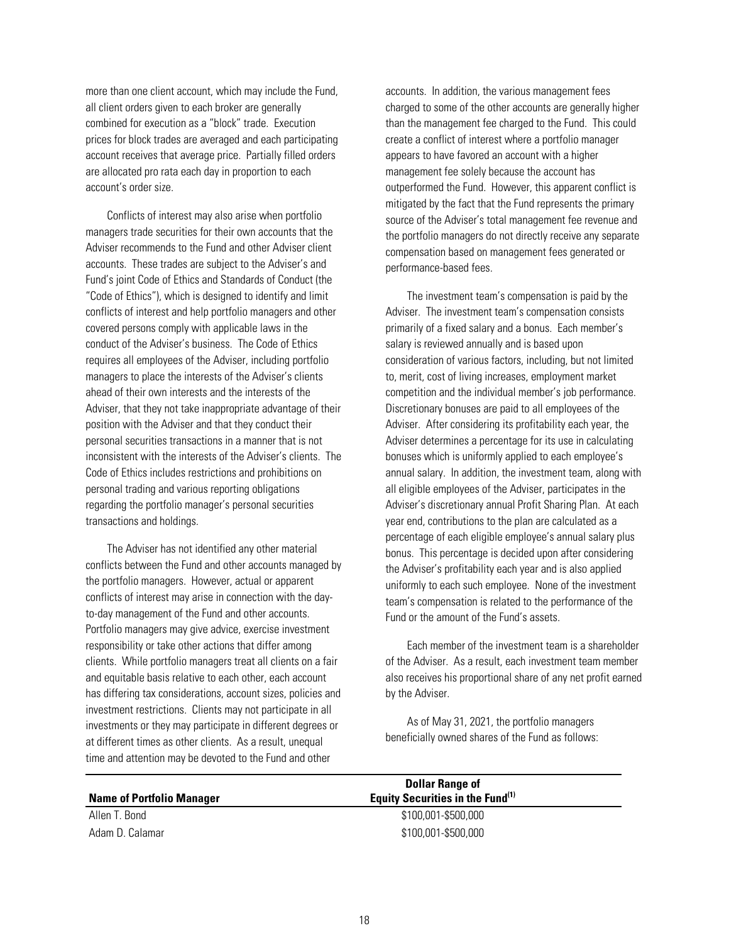more than one client account, which may include the Fund, all client orders given to each broker are generally combined for execution as a "block" trade. Execution prices for block trades are averaged and each participating account receives that average price. Partially filled orders are allocated pro rata each day in proportion to each account's order size.

Conflicts of interest may also arise when portfolio managers trade securities for their own accounts that the Adviser recommends to the Fund and other Adviser client accounts. These trades are subject to the Adviser's and Fund's joint Code of Ethics and Standards of Conduct (the "Code of Ethics"), which is designed to identify and limit conflicts of interest and help portfolio managers and other covered persons comply with applicable laws in the conduct of the Adviser's business. The Code of Ethics requires all employees of the Adviser, including portfolio managers to place the interests of the Adviser's clients ahead of their own interests and the interests of the Adviser, that they not take inappropriate advantage of their position with the Adviser and that they conduct their personal securities transactions in a manner that is not inconsistent with the interests of the Adviser's clients. The Code of Ethics includes restrictions and prohibitions on personal trading and various reporting obligations regarding the portfolio manager's personal securities transactions and holdings.

The Adviser has not identified any other material conflicts between the Fund and other accounts managed by the portfolio managers. However, actual or apparent conflicts of interest may arise in connection with the dayto-day management of the Fund and other accounts. Portfolio managers may give advice, exercise investment responsibility or take other actions that differ among clients. While portfolio managers treat all clients on a fair and equitable basis relative to each other, each account has differing tax considerations, account sizes, policies and investment restrictions. Clients may not participate in all investments or they may participate in different degrees or at different times as other clients. As a result, unequal time and attention may be devoted to the Fund and other

accounts. In addition, the various management fees charged to some of the other accounts are generally higher than the management fee charged to the Fund. This could create a conflict of interest where a portfolio manager appears to have favored an account with a higher management fee solely because the account has outperformed the Fund. However, this apparent conflict is mitigated by the fact that the Fund represents the primary source of the Adviser's total management fee revenue and the portfolio managers do not directly receive any separate compensation based on management fees generated or performance-based fees.

The investment team's compensation is paid by the Adviser. The investment team's compensation consists primarily of a fixed salary and a bonus. Each member's salary is reviewed annually and is based upon consideration of various factors, including, but not limited to, merit, cost of living increases, employment market competition and the individual member's job performance. Discretionary bonuses are paid to all employees of the Adviser. After considering its profitability each year, the Adviser determines a percentage for its use in calculating bonuses which is uniformly applied to each employee's annual salary. In addition, the investment team, along with all eligible employees of the Adviser, participates in the Adviser's discretionary annual Profit Sharing Plan. At each year end, contributions to the plan are calculated as a percentage of each eligible employee's annual salary plus bonus. This percentage is decided upon after considering the Adviser's profitability each year and is also applied uniformly to each such employee. None of the investment team's compensation is related to the performance of the Fund or the amount of the Fund's assets.

Each member of the investment team is a shareholder of the Adviser. As a result, each investment team member also receives his proportional share of any net profit earned by the Adviser.

As of May 31, 2021, the portfolio managers beneficially owned shares of the Fund as follows:

|                                  | <b>Dollar Range of</b>                       |  |
|----------------------------------|----------------------------------------------|--|
| <b>Name of Portfolio Manager</b> | Equity Securities in the Fund <sup>(1)</sup> |  |
| Allen T. Bond                    | \$100,001-\$500,000                          |  |
| Adam D. Calamar                  | \$100,001-\$500,000                          |  |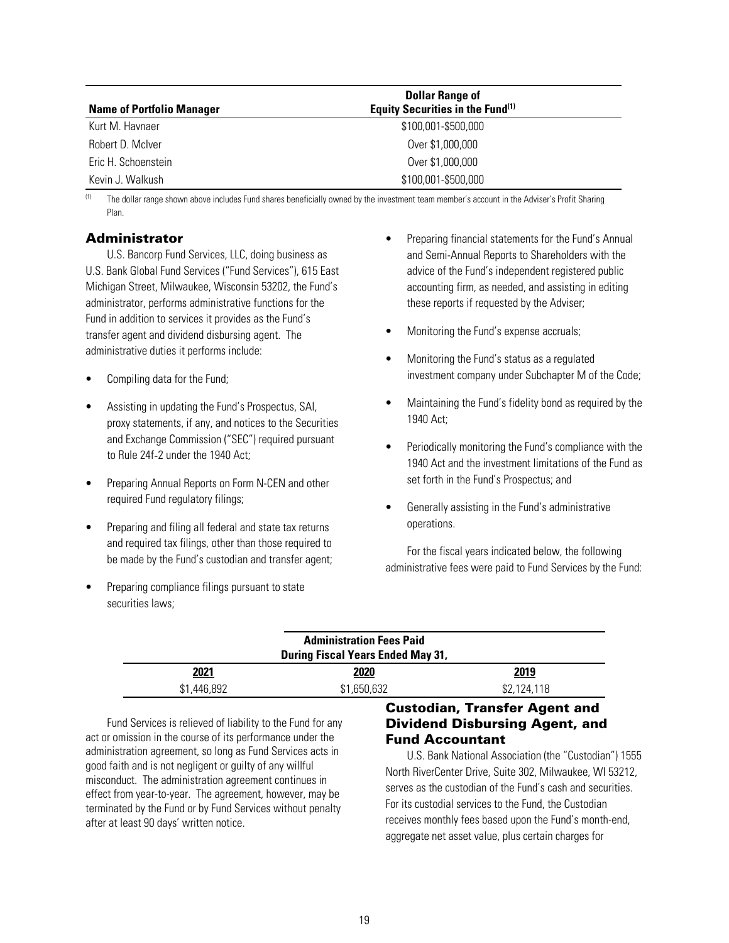<span id="page-21-0"></span>

|                                  | <b>Dollar Range of</b>                       |  |
|----------------------------------|----------------------------------------------|--|
| <b>Name of Portfolio Manager</b> | Equity Securities in the Fund <sup>(1)</sup> |  |
| Kurt M. Havnaer                  | \$100,001-\$500,000                          |  |
| Robert D. McIver                 | Over \$1,000,000                             |  |
| Eric H. Schoenstein              | Over \$1,000,000                             |  |
| Kevin J. Walkush                 | \$100,001-\$500,000                          |  |

<sup>(1)</sup> The dollar range shown above includes Fund shares beneficially owned by the investment team member's account in the Adviser's Profit Sharing Plan.

## Administrator

U.S. Bancorp Fund Services, LLC, doing business as U.S. Bank Global Fund Services ("Fund Services"), 615 East Michigan Street, Milwaukee, Wisconsin 53202, the Fund's administrator, performs administrative functions for the Fund in addition to services it provides as the Fund's transfer agent and dividend disbursing agent. The administrative duties it performs include:

- Compiling data for the Fund;
- Assisting in updating the Fund's Prospectus, SAI, proxy statements, if any, and notices to the Securities and Exchange Commission ("SEC") required pursuant to Rule 24f-2 under the 1940 Act:
- Preparing Annual Reports on Form N-CEN and other required Fund regulatory filings;
- Preparing and filing all federal and state tax returns and required tax filings, other than those required to be made by the Fund's custodian and transfer agent;
- Preparing compliance filings pursuant to state securities laws;
- Preparing financial statements for the Fund's Annual and Semi-Annual Reports to Shareholders with the advice of the Fund's independent registered public accounting firm, as needed, and assisting in editing these reports if requested by the Adviser;
- Monitoring the Fund's expense accruals;
- Monitoring the Fund's status as a regulated investment company under Subchapter M of the Code;
- Maintaining the Fund's fidelity bond as required by the 1940 Act;
- Periodically monitoring the Fund's compliance with the 1940 Act and the investment limitations of the Fund as set forth in the Fund's Prospectus; and
- Generally assisting in the Fund's administrative operations.

For the fiscal years indicated below, the following administrative fees were paid to Fund Services by the Fund:

| <b>Administration Fees Paid</b><br><b>During Fiscal Years Ended May 31,</b> |             |             |
|-----------------------------------------------------------------------------|-------------|-------------|
| 2021                                                                        | 2020        | 2019        |
| \$1,446,892                                                                 | \$1,650,632 | \$2,124,118 |

Fund Services is relieved of liability to the Fund for any act or omission in the course of its performance under the administration agreement, so long as Fund Services acts in good faith and is not negligent or guilty of any willful misconduct. The administration agreement continues in effect from year-to-year. The agreement, however, may be terminated by the Fund or by Fund Services without penalty after at least 90 days' written notice.

# Custodian, Transfer Agent and Dividend Disbursing Agent, and Fund Accountant

U.S. Bank National Association (the "Custodian") 1555 North RiverCenter Drive, Suite 302, Milwaukee, WI 53212, serves as the custodian of the Fund's cash and securities. For its custodial services to the Fund, the Custodian receives monthly fees based upon the Fund's month-end, aggregate net asset value, plus certain charges for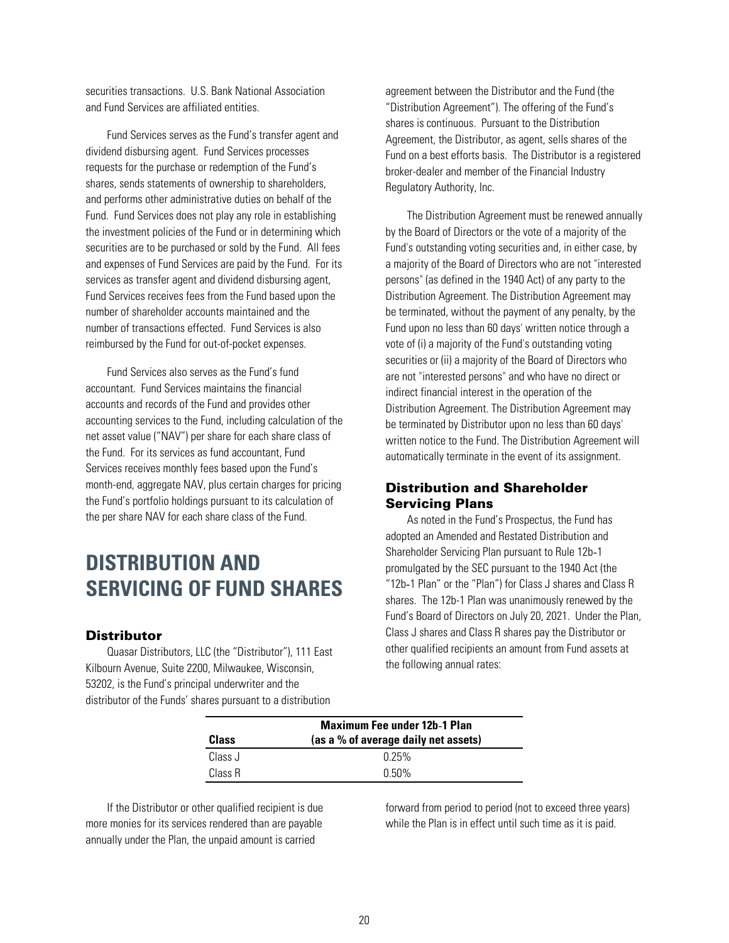<span id="page-22-0"></span>securities transactions. U.S. Bank National Association and Fund Services are affiliated entities.

Fund Services serves as the Fund's transfer agent and dividend disbursing agent. Fund Services processes requests for the purchase or redemption of the Fund's shares, sends statements of ownership to shareholders, and performs other administrative duties on behalf of the Fund. Fund Services does not play any role in establishing the investment policies of the Fund or in determining which securities are to be purchased or sold by the Fund. All fees and expenses of Fund Services are paid by the Fund. For its services as transfer agent and dividend disbursing agent, Fund Services receives fees from the Fund based upon the number of shareholder accounts maintained and the number of transactions effected. Fund Services is also reimbursed by the Fund for out-of-pocket expenses.

Fund Services also serves as the Fund's fund accountant. Fund Services maintains the financial accounts and records of the Fund and provides other accounting services to the Fund, including calculation of the net asset value ("NAV") per share for each share class of the Fund. For its services as fund accountant, Fund Services receives monthly fees based upon the Fund's month-end, aggregate NAV, plus certain charges for pricing the Fund's portfolio holdings pursuant to its calculation of the per share NAV for each share class of the Fund.

# **DISTRIBUTION AND SERVICING OF FUND SHARES**

## **Distributor**

Quasar Distributors, LLC (the "Distributor"), 111 East Kilbourn Avenue, Suite 2200, Milwaukee, Wisconsin, 53202, is the Fund's principal underwriter and the distributor of the Funds' shares pursuant to a distribution

agreement between the Distributor and the Fund (the "Distribution Agreement"). The offering of the Fund's shares is continuous. Pursuant to the Distribution Agreement, the Distributor, as agent, sells shares of the Fund on a best efforts basis. The Distributor is a registered broker-dealer and member of the Financial Industry Regulatory Authority, Inc.

The Distribution Agreement must be renewed annually by the Board of Directors or the vote of a majority of the Fund's outstanding voting securities and, in either case, by a majority of the Board of Directors who are not "interested persons" (as defined in the 1940 Act) of any party to the Distribution Agreement. The Distribution Agreement may be terminated, without the payment of any penalty, by the Fund upon no less than 60 days' written notice through a vote of (i) a majority of the Fund's outstanding voting securities or (ii) a majority of the Board of Directors who are not "interested persons" and who have no direct or indirect financial interest in the operation of the Distribution Agreement. The Distribution Agreement may be terminated by Distributor upon no less than 60 days' written notice to the Fund. The Distribution Agreement will automatically terminate in the event of its assignment.

## Distribution and Shareholder Servicing Plans

As noted in the Fund's Prospectus, the Fund has adopted an Amended and Restated Distribution and Shareholder Servicing Plan pursuant to Rule 12b-1 promulgated by the SEC pursuant to the 1940 Act (the "12b-1 Plan" or the "Plan") for Class J shares and Class R shares. The 12b-1 Plan was unanimously renewed by the Fund's Board of Directors on July 20, 2021. Under the Plan, Class J shares and Class R shares pay the Distributor or other qualified recipients an amount from Fund assets at the following annual rates:

| Class   | <b>Maximum Fee under 12b-1 Plan</b><br>(as a % of average daily net assets) |  |
|---------|-----------------------------------------------------------------------------|--|
| Class J | 0.25%                                                                       |  |
| Class R | በ 50%                                                                       |  |

If the Distributor or other qualified recipient is due more monies for its services rendered than are payable annually under the Plan, the unpaid amount is carried

forward from period to period (not to exceed three years) while the Plan is in effect until such time as it is paid.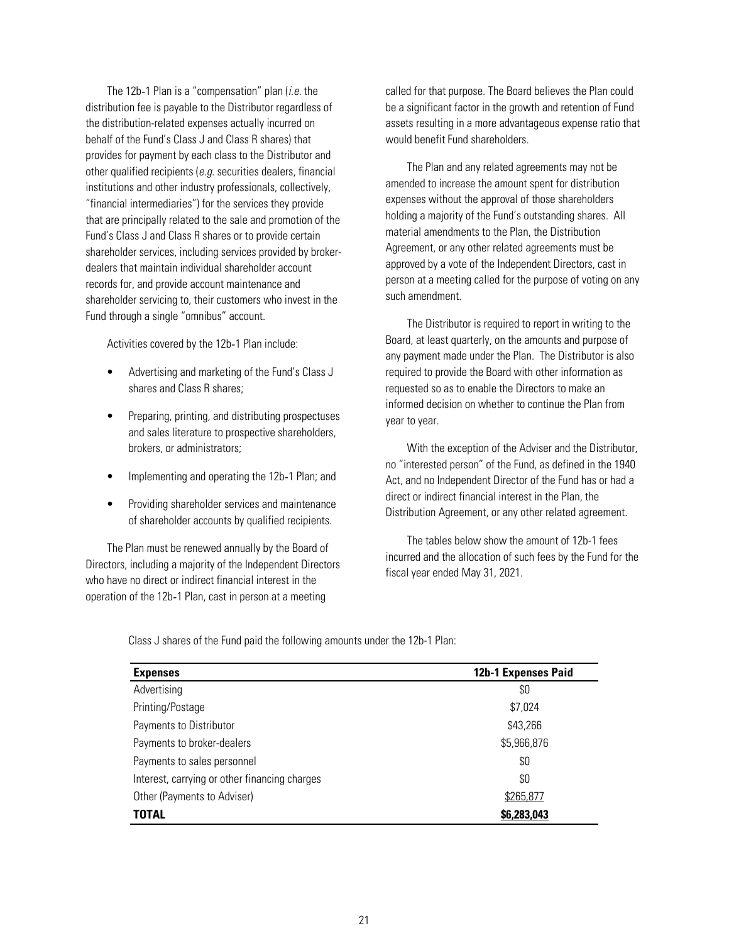The 12b-1 Plan is a "compensation" plan  $(i.e.$  the distribution fee is payable to the Distributor regardless of the distribution-related expenses actually incurred on behalf of the Fund's Class J and Class R shares) that provides for payment by each class to the Distributor and other qualified recipients ( $e.g.$  securities dealers, financial institutions and other industry professionals, collectively, "financial intermediaries") for the services they provide that are principally related to the sale and promotion of the Fund's Class J and Class R shares or to provide certain shareholder services, including services provided by brokerdealers that maintain individual shareholder account records for, and provide account maintenance and shareholder servicing to, their customers who invest in the Fund through a single "omnibus" account.

Activities covered by the 12b-1 Plan include:

- Advertising and marketing of the Fund's Class J shares and Class R shares;
- Preparing, printing, and distributing prospectuses and sales literature to prospective shareholders, brokers, or administrators;
- Implementing and operating the 12b-1 Plan; and
- Providing shareholder services and maintenance of shareholder accounts by qualified recipients.

The Plan must be renewed annually by the Board of Directors, including a majority of the Independent Directors who have no direct or indirect financial interest in the operation of the 12b-1 Plan, cast in person at a meeting

called for that purpose. The Board believes the Plan could be a significant factor in the growth and retention of Fund assets resulting in a more advantageous expense ratio that would benefit Fund shareholders.

The Plan and any related agreements may not be amended to increase the amount spent for distribution expenses without the approval of those shareholders holding a majority of the Fund's outstanding shares. All material amendments to the Plan, the Distribution Agreement, or any other related agreements must be approved by a vote of the Independent Directors, cast in person at a meeting called for the purpose of voting on any such amendment.

The Distributor is required to report in writing to the Board, at least quarterly, on the amounts and purpose of any payment made under the Plan. The Distributor is also required to provide the Board with other information as requested so as to enable the Directors to make an informed decision on whether to continue the Plan from year to year.

With the exception of the Adviser and the Distributor, no "interested person" of the Fund, as defined in the 1940 Act, and no Independent Director of the Fund has or had a direct or indirect financial interest in the Plan, the Distribution Agreement, or any other related agreement.

The tables below show the amount of 12b-1 fees incurred and the allocation of such fees by the Fund for the fiscal year ended May 31, 2021.

Class J shares of the Fund paid the following amounts under the 12b-1 Plan:

| <b>Expenses</b>                               | 12b-1 Expenses Paid |
|-----------------------------------------------|---------------------|
| Advertising                                   | \$0                 |
| Printing/Postage                              | \$7,024             |
| Payments to Distributor                       | \$43,266            |
| Payments to broker-dealers                    | \$5,966,876         |
| Payments to sales personnel                   | \$0                 |
| Interest, carrying or other financing charges | \$0                 |
| Other (Payments to Adviser)                   | \$265,877           |
| <b>TOTAL</b>                                  | \$6,283,043         |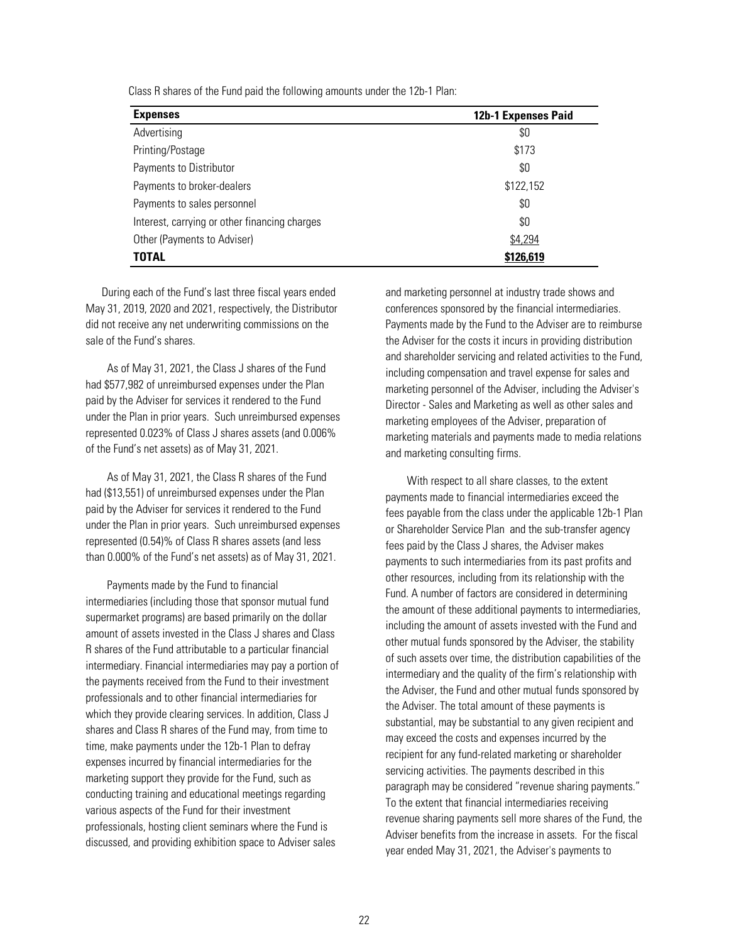Class R shares of the Fund paid the following amounts under the 12b-1 Plan:

| <b>Expenses</b>                               | 12b-1 Expenses Paid |
|-----------------------------------------------|---------------------|
| Advertising                                   | \$0                 |
| Printing/Postage                              | \$173               |
| Payments to Distributor                       | \$0                 |
| Payments to broker-dealers                    | \$122,152           |
| Payments to sales personnel                   | \$0                 |
| Interest, carrying or other financing charges | \$0                 |
| Other (Payments to Adviser)                   | \$4,294             |
| TOTAL                                         | \$126,619           |

During each of the Fund's last three fiscal years ended May 31, 2019, 2020 and 2021, respectively, the Distributor did not receive any net underwriting commissions on the sale of the Fund's shares.

As of May 31, 2021, the Class J shares of the Fund had \$577,982 of unreimbursed expenses under the Plan paid by the Adviser for services it rendered to the Fund under the Plan in prior years. Such unreimbursed expenses represented 0.023% of Class J shares assets (and 0.006% of the Fund's net assets) as of May 31, 2021.

As of May 31, 2021, the Class R shares of the Fund had (\$13,551) of unreimbursed expenses under the Plan paid by the Adviser for services it rendered to the Fund under the Plan in prior years. Such unreimbursed expenses represented (0.54)% of Class R shares assets (and less than 0.000% of the Fund's net assets) as of May 31, 2021.

Payments made by the Fund to financial intermediaries (including those that sponsor mutual fund supermarket programs) are based primarily on the dollar amount of assets invested in the Class J shares and Class R shares of the Fund attributable to a particular financial intermediary. Financial intermediaries may pay a portion of the payments received from the Fund to their investment professionals and to other financial intermediaries for which they provide clearing services. In addition, Class J shares and Class R shares of the Fund may, from time to time, make payments under the 12b-1 Plan to defray expenses incurred by financial intermediaries for the marketing support they provide for the Fund, such as conducting training and educational meetings regarding various aspects of the Fund for their investment professionals, hosting client seminars where the Fund is discussed, and providing exhibition space to Adviser sales

and marketing personnel at industry trade shows and conferences sponsored by the financial intermediaries. Payments made by the Fund to the Adviser are to reimburse the Adviser for the costs it incurs in providing distribution and shareholder servicing and related activities to the Fund, including compensation and travel expense for sales and marketing personnel of the Adviser, including the Adviser's Director - Sales and Marketing as well as other sales and marketing employees of the Adviser, preparation of marketing materials and payments made to media relations and marketing consulting firms.

With respect to all share classes, to the extent payments made to financial intermediaries exceed the fees payable from the class under the applicable 12b-1 Plan or Shareholder Service Plan and the sub-transfer agency fees paid by the Class J shares, the Adviser makes payments to such intermediaries from its past profits and other resources, including from its relationship with the Fund. A number of factors are considered in determining the amount of these additional payments to intermediaries, including the amount of assets invested with the Fund and other mutual funds sponsored by the Adviser, the stability of such assets over time, the distribution capabilities of the intermediary and the quality of the firm's relationship with the Adviser, the Fund and other mutual funds sponsored by the Adviser. The total amount of these payments is substantial, may be substantial to any given recipient and may exceed the costs and expenses incurred by the recipient for any fund-related marketing or shareholder servicing activities. The payments described in this paragraph may be considered "revenue sharing payments." To the extent that financial intermediaries receiving revenue sharing payments sell more shares of the Fund, the Adviser benefits from the increase in assets. For the fiscal year ended May 31, 2021, the Adviser's payments to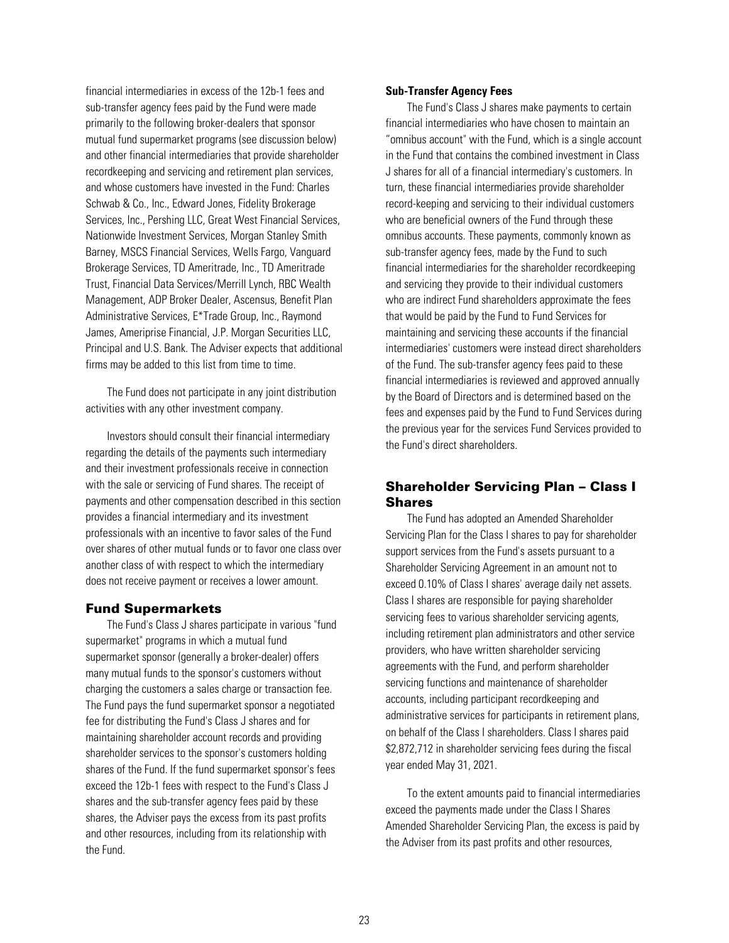<span id="page-25-0"></span>financial intermediaries in excess of the 12b-1 fees and sub-transfer agency fees paid by the Fund were made primarily to the following broker-dealers that sponsor mutual fund supermarket programs (see discussion below) and other financial intermediaries that provide shareholder recordkeeping and servicing and retirement plan services, and whose customers have invested in the Fund: Charles Schwab & Co., Inc., Edward Jones, Fidelity Brokerage Services, Inc., Pershing LLC, Great West Financial Services, Nationwide Investment Services, Morgan Stanley Smith Barney, MSCS Financial Services, Wells Fargo, Vanguard Brokerage Services, TD Ameritrade, Inc., TD Ameritrade Trust, Financial Data Services/Merrill Lynch, RBC Wealth Management, ADP Broker Dealer, Ascensus, Benefit Plan Administrative Services, E\*Trade Group, Inc., Raymond James, Ameriprise Financial, J.P. Morgan Securities LLC, Principal and U.S. Bank. The Adviser expects that additional firms may be added to this list from time to time.

The Fund does not participate in any joint distribution activities with any other investment company.

Investors should consult their financial intermediary regarding the details of the payments such intermediary and their investment professionals receive in connection with the sale or servicing of Fund shares. The receipt of payments and other compensation described in this section provides a financial intermediary and its investment professionals with an incentive to favor sales of the Fund over shares of other mutual funds or to favor one class over another class of with respect to which the intermediary does not receive payment or receives a lower amount.

## Fund Supermarkets

The Fund's Class J shares participate in various "fund supermarket" programs in which a mutual fund supermarket sponsor (generally a broker-dealer) offers many mutual funds to the sponsor's customers without charging the customers a sales charge or transaction fee. The Fund pays the fund supermarket sponsor a negotiated fee for distributing the Fund's Class J shares and for maintaining shareholder account records and providing shareholder services to the sponsor's customers holding shares of the Fund. If the fund supermarket sponsor's fees exceed the 12b-1 fees with respect to the Fund's Class J shares and the sub-transfer agency fees paid by these shares, the Adviser pays the excess from its past profits and other resources, including from its relationship with the Fund.

### **Sub-Transfer Agency Fees**

The Fund's Class J shares make payments to certain financial intermediaries who have chosen to maintain an "omnibus account" with the Fund, which is a single account in the Fund that contains the combined investment in Class J shares for all of a financial intermediary's customers. In turn, these financial intermediaries provide shareholder record-keeping and servicing to their individual customers who are beneficial owners of the Fund through these omnibus accounts. These payments, commonly known as sub-transfer agency fees, made by the Fund to such financial intermediaries for the shareholder recordkeeping and servicing they provide to their individual customers who are indirect Fund shareholders approximate the fees that would be paid by the Fund to Fund Services for maintaining and servicing these accounts if the financial intermediaries' customers were instead direct shareholders of the Fund. The sub-transfer agency fees paid to these financial intermediaries is reviewed and approved annually by the Board of Directors and is determined based on the fees and expenses paid by the Fund to Fund Services during the previous year for the services Fund Services provided to the Fund's direct shareholders.

## Shareholder Servicing Plan – Class I Shares

The Fund has adopted an Amended Shareholder Servicing Plan for the Class I shares to pay for shareholder support services from the Fund's assets pursuant to a Shareholder Servicing Agreement in an amount not to exceed 0.10% of Class I shares' average daily net assets. Class I shares are responsible for paying shareholder servicing fees to various shareholder servicing agents, including retirement plan administrators and other service providers, who have written shareholder servicing agreements with the Fund, and perform shareholder servicing functions and maintenance of shareholder accounts, including participant recordkeeping and administrative services for participants in retirement plans, on behalf of the Class I shareholders. Class I shares paid \$2,872,712 in shareholder servicing fees during the fiscal year ended May 31, 2021.

To the extent amounts paid to financial intermediaries exceed the payments made under the Class I Shares Amended Shareholder Servicing Plan, the excess is paid by the Adviser from its past profits and other resources,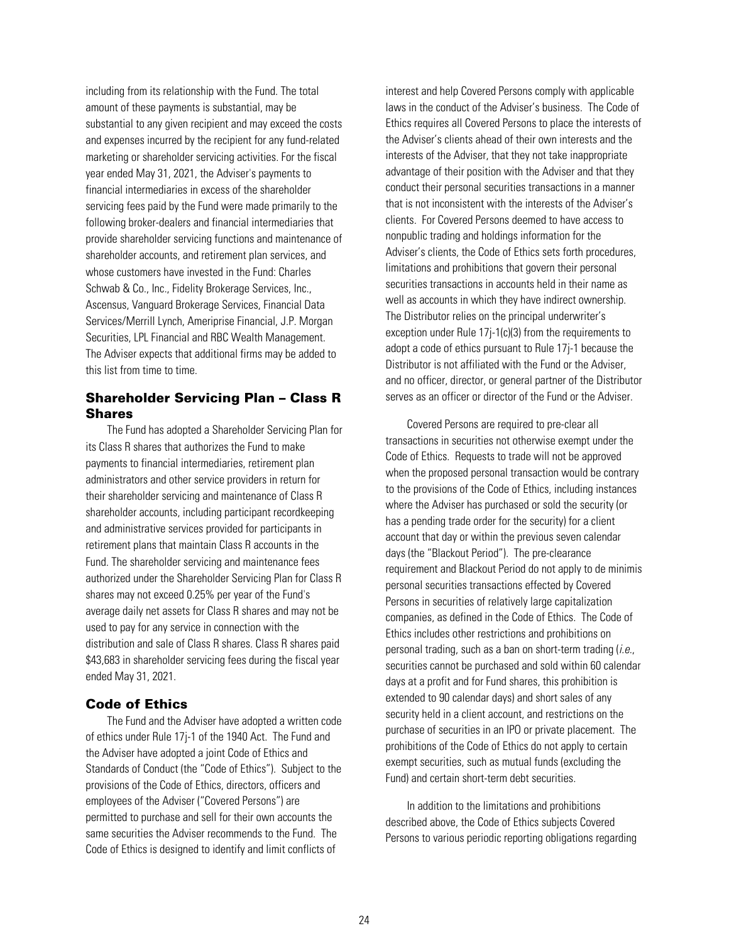<span id="page-26-0"></span>including from its relationship with the Fund. The total amount of these payments is substantial, may be substantial to any given recipient and may exceed the costs and expenses incurred by the recipient for any fund-related marketing or shareholder servicing activities. For the fiscal year ended May 31, 2021, the Adviser's payments to financial intermediaries in excess of the shareholder servicing fees paid by the Fund were made primarily to the following broker-dealers and financial intermediaries that provide shareholder servicing functions and maintenance of shareholder accounts, and retirement plan services, and whose customers have invested in the Fund: Charles Schwab & Co., Inc., Fidelity Brokerage Services, Inc., Ascensus, Vanguard Brokerage Services, Financial Data Services/Merrill Lynch, Ameriprise Financial, J.P. Morgan Securities, LPL Financial and RBC Wealth Management. The Adviser expects that additional firms may be added to this list from time to time.

## Shareholder Servicing Plan – Class R Shares

The Fund has adopted a Shareholder Servicing Plan for its Class R shares that authorizes the Fund to make payments to financial intermediaries, retirement plan administrators and other service providers in return for their shareholder servicing and maintenance of Class R shareholder accounts, including participant recordkeeping and administrative services provided for participants in retirement plans that maintain Class R accounts in the Fund. The shareholder servicing and maintenance fees authorized under the Shareholder Servicing Plan for Class R shares may not exceed 0.25% per year of the Fund's average daily net assets for Class R shares and may not be used to pay for any service in connection with the distribution and sale of Class R shares. Class R shares paid \$43,683 in shareholder servicing fees during the fiscal year ended May 31, 2021.

## Code of Ethics

The Fund and the Adviser have adopted a written code of ethics under Rule 17j-1 of the 1940 Act. The Fund and the Adviser have adopted a joint Code of Ethics and Standards of Conduct (the "Code of Ethics"). Subject to the provisions of the Code of Ethics, directors, officers and employees of the Adviser ("Covered Persons") are permitted to purchase and sell for their own accounts the same securities the Adviser recommends to the Fund. The Code of Ethics is designed to identify and limit conflicts of

interest and help Covered Persons comply with applicable laws in the conduct of the Adviser's business. The Code of Ethics requires all Covered Persons to place the interests of the Adviser's clients ahead of their own interests and the interests of the Adviser, that they not take inappropriate advantage of their position with the Adviser and that they conduct their personal securities transactions in a manner that is not inconsistent with the interests of the Adviser's clients. For Covered Persons deemed to have access to nonpublic trading and holdings information for the Adviser's clients, the Code of Ethics sets forth procedures, limitations and prohibitions that govern their personal securities transactions in accounts held in their name as well as accounts in which they have indirect ownership. The Distributor relies on the principal underwriter's exception under Rule 17j-1(c)(3) from the requirements to adopt a code of ethics pursuant to Rule 17j-1 because the Distributor is not affiliated with the Fund or the Adviser, and no officer, director, or general partner of the Distributor serves as an officer or director of the Fund or the Adviser.

Covered Persons are required to pre-clear all transactions in securities not otherwise exempt under the Code of Ethics. Requests to trade will not be approved when the proposed personal transaction would be contrary to the provisions of the Code of Ethics, including instances where the Adviser has purchased or sold the security (or has a pending trade order for the security) for a client account that day or within the previous seven calendar days (the "Blackout Period"). The pre-clearance requirement and Blackout Period do not apply to de minimis personal securities transactions effected by Covered Persons in securities of relatively large capitalization companies, as defined in the Code of Ethics. The Code of Ethics includes other restrictions and prohibitions on personal trading, such as a ban on short-term trading  $(i.e.,$ securities cannot be purchased and sold within 60 calendar days at a profit and for Fund shares, this prohibition is extended to 90 calendar days) and short sales of any security held in a client account, and restrictions on the purchase of securities in an IPO or private placement. The prohibitions of the Code of Ethics do not apply to certain exempt securities, such as mutual funds (excluding the Fund) and certain short-term debt securities.

In addition to the limitations and prohibitions described above, the Code of Ethics subjects Covered Persons to various periodic reporting obligations regarding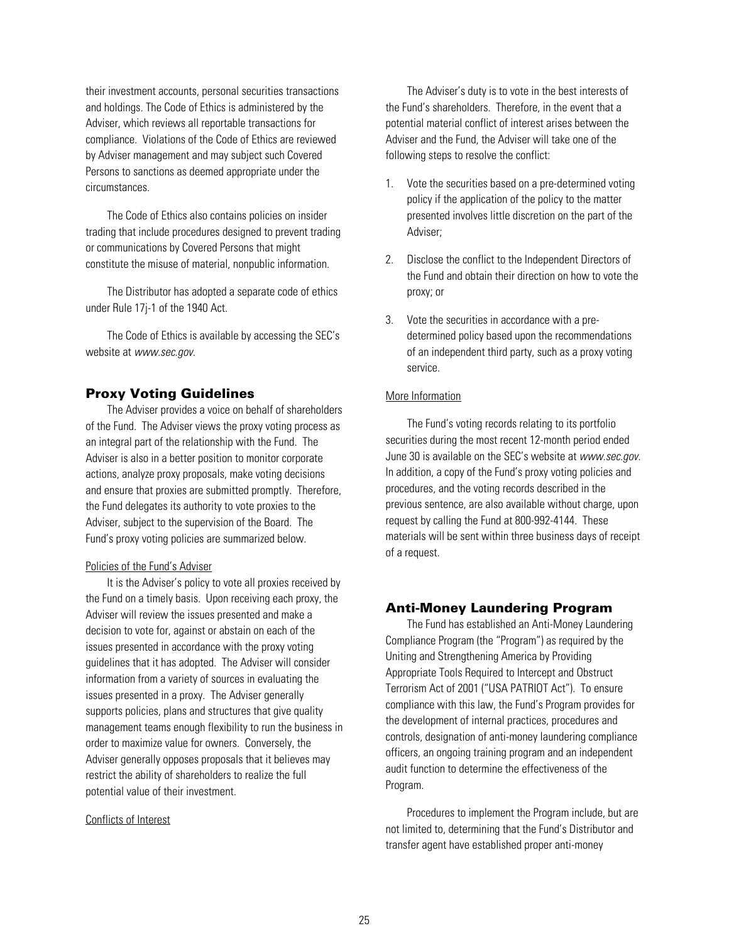<span id="page-27-0"></span>their investment accounts, personal securities transactions and holdings. The Code of Ethics is administered by the Adviser, which reviews all reportable transactions for compliance. Violations of the Code of Ethics are reviewed by Adviser management and may subject such Covered Persons to sanctions as deemed appropriate under the circumstances.

The Code of Ethics also contains policies on insider trading that include procedures designed to prevent trading or communications by Covered Persons that might constitute the misuse of material, nonpublic information.

The Distributor has adopted a separate code of ethics under Rule 17j-1 of the 1940 Act.

The Code of Ethics is available by accessing the SEC's website at www.sec.gov.

## Proxy Voting Guidelines

The Adviser provides a voice on behalf of shareholders of the Fund. The Adviser views the proxy voting process as an integral part of the relationship with the Fund. The Adviser is also in a better position to monitor corporate actions, analyze proxy proposals, make voting decisions and ensure that proxies are submitted promptly. Therefore, the Fund delegates its authority to vote proxies to the Adviser, subject to the supervision of the Board. The Fund's proxy voting policies are summarized below.

### Policies of the Fund's Adviser

It is the Adviser's policy to vote all proxies received by the Fund on a timely basis. Upon receiving each proxy, the Adviser will review the issues presented and make a decision to vote for, against or abstain on each of the issues presented in accordance with the proxy voting guidelines that it has adopted. The Adviser will consider information from a variety of sources in evaluating the issues presented in a proxy. The Adviser generally supports policies, plans and structures that give quality management teams enough flexibility to run the business in order to maximize value for owners. Conversely, the Adviser generally opposes proposals that it believes may restrict the ability of shareholders to realize the full potential value of their investment.

#### Conflicts of Interest

The Adviser's duty is to vote in the best interests of the Fund's shareholders. Therefore, in the event that a potential material conflict of interest arises between the Adviser and the Fund, the Adviser will take one of the following steps to resolve the conflict:

- 1. Vote the securities based on a pre-determined voting policy if the application of the policy to the matter presented involves little discretion on the part of the Adviser;
- 2. Disclose the conflict to the Independent Directors of the Fund and obtain their direction on how to vote the proxy; or
- 3. Vote the securities in accordance with a predetermined policy based upon the recommendations of an independent third party, such as a proxy voting service.

### More Information

The Fund's voting records relating to its portfolio securities during the most recent 12-month period ended June 30 is available on the SEC's website at www.sec.gov. In addition, a copy of the Fund's proxy voting policies and procedures, and the voting records described in the previous sentence, are also available without charge, upon request by calling the Fund at 800-992-4144. These materials will be sent within three business days of receipt of a request.

## Anti-Money Laundering Program

The Fund has established an Anti-Money Laundering Compliance Program (the "Program") as required by the Uniting and Strengthening America by Providing Appropriate Tools Required to Intercept and Obstruct Terrorism Act of 2001 ("USA PATRIOT Act"). To ensure compliance with this law, the Fund's Program provides for the development of internal practices, procedures and controls, designation of anti-money laundering compliance officers, an ongoing training program and an independent audit function to determine the effectiveness of the Program.

Procedures to implement the Program include, but are not limited to, determining that the Fund's Distributor and transfer agent have established proper anti-money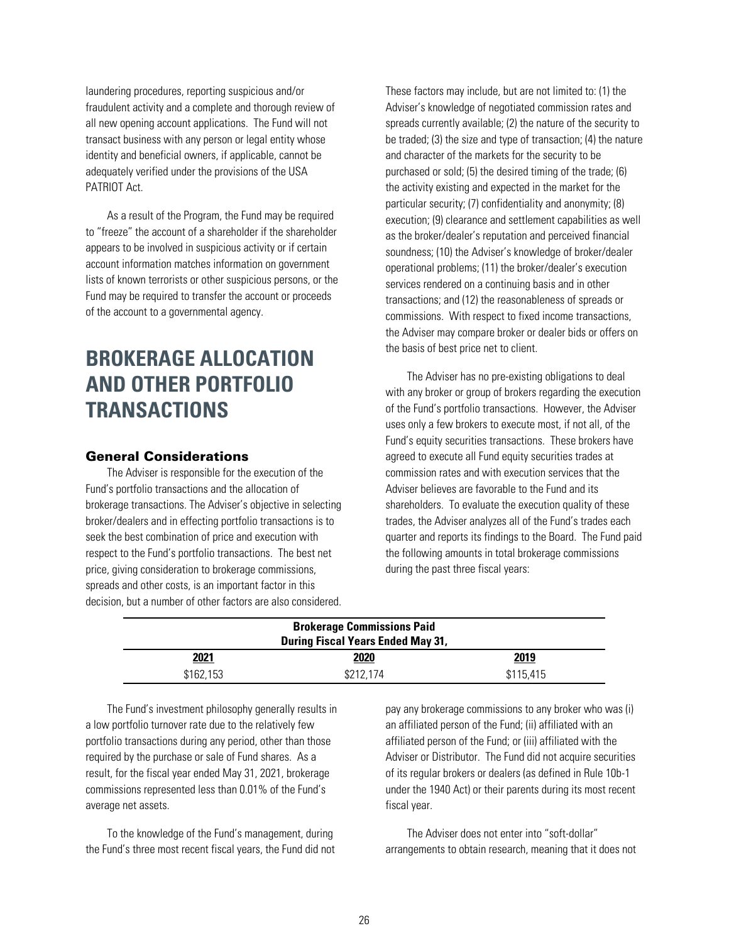<span id="page-28-0"></span>laundering procedures, reporting suspicious and/or fraudulent activity and a complete and thorough review of all new opening account applications. The Fund will not transact business with any person or legal entity whose identity and beneficial owners, if applicable, cannot be adequately verified under the provisions of the USA PATRIOT Act.

As a result of the Program, the Fund may be required to "freeze" the account of a shareholder if the shareholder appears to be involved in suspicious activity or if certain account information matches information on government lists of known terrorists or other suspicious persons, or the Fund may be required to transfer the account or proceeds of the account to a governmental agency.

# **BROKERAGE ALLOCATION AND OTHER PORTFOLIO TRANSACTIONS**

## General Considerations

The Adviser is responsible for the execution of the Fund's portfolio transactions and the allocation of brokerage transactions. The Adviser's objective in selecting broker/dealers and in effecting portfolio transactions is to seek the best combination of price and execution with respect to the Fund's portfolio transactions. The best net price, giving consideration to brokerage commissions, spreads and other costs, is an important factor in this decision, but a number of other factors are also considered. These factors may include, but are not limited to: (1) the Adviser's knowledge of negotiated commission rates and spreads currently available; (2) the nature of the security to be traded; (3) the size and type of transaction; (4) the nature and character of the markets for the security to be purchased or sold; (5) the desired timing of the trade; (6) the activity existing and expected in the market for the particular security; (7) confidentiality and anonymity; (8) execution; (9) clearance and settlement capabilities as well as the broker/dealer's reputation and perceived financial soundness; (10) the Adviser's knowledge of broker/dealer operational problems; (11) the broker/dealer's execution services rendered on a continuing basis and in other transactions; and (12) the reasonableness of spreads or commissions. With respect to fixed income transactions, the Adviser may compare broker or dealer bids or offers on the basis of best price net to client.

The Adviser has no pre-existing obligations to deal with any broker or group of brokers regarding the execution of the Fund's portfolio transactions. However, the Adviser uses only a few brokers to execute most, if not all, of the Fund's equity securities transactions. These brokers have agreed to execute all Fund equity securities trades at commission rates and with execution services that the Adviser believes are favorable to the Fund and its shareholders. To evaluate the execution quality of these trades, the Adviser analyzes all of the Fund's trades each quarter and reports its findings to the Board. The Fund paid the following amounts in total brokerage commissions during the past three fiscal years:

| <b>Brokerage Commissions Paid</b><br><b>During Fiscal Years Ended May 31,</b> |           |           |  |  |
|-------------------------------------------------------------------------------|-----------|-----------|--|--|
| <b>2021</b>                                                                   | 2020      | 2019      |  |  |
| \$162.153                                                                     | \$212.174 | \$115.415 |  |  |

The Fund's investment philosophy generally results in a low portfolio turnover rate due to the relatively few portfolio transactions during any period, other than those required by the purchase or sale of Fund shares. As a result, for the fiscal year ended May 31, 2021, brokerage commissions represented less than 0.01% of the Fund's average net assets.

To the knowledge of the Fund's management, during the Fund's three most recent fiscal years, the Fund did not

pay any brokerage commissions to any broker who was (i) an affiliated person of the Fund; (ii) affiliated with an affiliated person of the Fund; or (iii) affiliated with the Adviser or Distributor. The Fund did not acquire securities of its regular brokers or dealers (as defined in Rule 10b-1 under the 1940 Act) or their parents during its most recent fiscal year.

The Adviser does not enter into "soft-dollar" arrangements to obtain research, meaning that it does not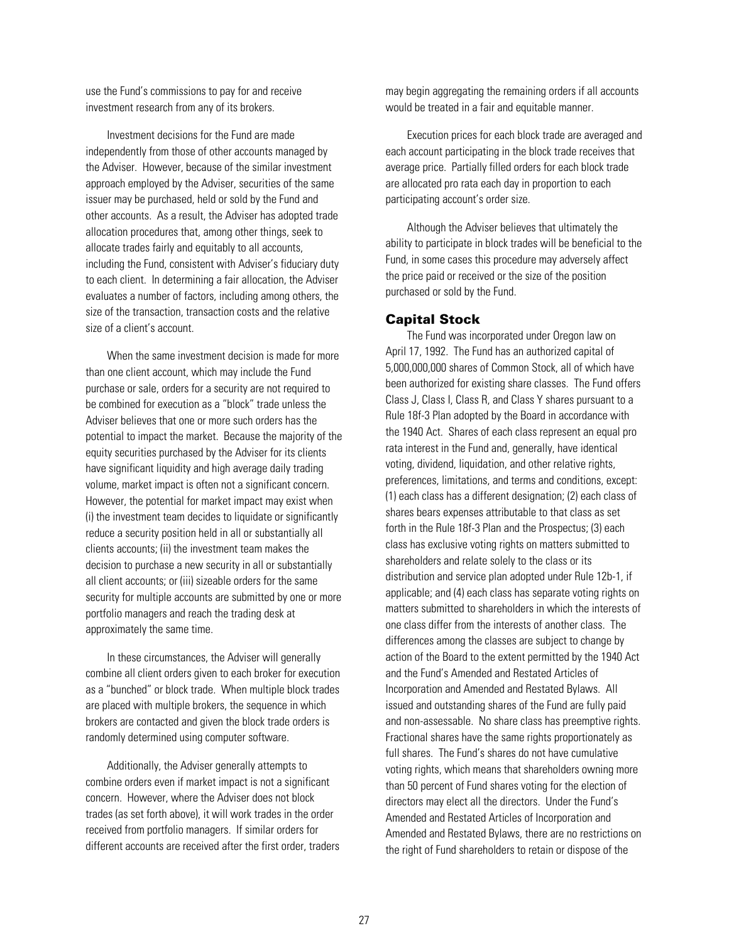<span id="page-29-0"></span>use the Fund's commissions to pay for and receive investment research from any of its brokers.

Investment decisions for the Fund are made independently from those of other accounts managed by the Adviser. However, because of the similar investment approach employed by the Adviser, securities of the same issuer may be purchased, held or sold by the Fund and other accounts. As a result, the Adviser has adopted trade allocation procedures that, among other things, seek to allocate trades fairly and equitably to all accounts, including the Fund, consistent with Adviser's fiduciary duty to each client. In determining a fair allocation, the Adviser evaluates a number of factors, including among others, the size of the transaction, transaction costs and the relative size of a client's account.

When the same investment decision is made for more than one client account, which may include the Fund purchase or sale, orders for a security are not required to be combined for execution as a "block" trade unless the Adviser believes that one or more such orders has the potential to impact the market. Because the majority of the equity securities purchased by the Adviser for its clients have significant liquidity and high average daily trading volume, market impact is often not a significant concern. However, the potential for market impact may exist when (i) the investment team decides to liquidate or significantly reduce a security position held in all or substantially all clients accounts; (ii) the investment team makes the decision to purchase a new security in all or substantially all client accounts; or (iii) sizeable orders for the same security for multiple accounts are submitted by one or more portfolio managers and reach the trading desk at approximately the same time.

In these circumstances, the Adviser will generally combine all client orders given to each broker for execution as a "bunched" or block trade. When multiple block trades are placed with multiple brokers, the sequence in which brokers are contacted and given the block trade orders is randomly determined using computer software.

Additionally, the Adviser generally attempts to combine orders even if market impact is not a significant concern. However, where the Adviser does not block trades (as set forth above), it will work trades in the order received from portfolio managers. If similar orders for different accounts are received after the first order, traders

may begin aggregating the remaining orders if all accounts would be treated in a fair and equitable manner.

Execution prices for each block trade are averaged and each account participating in the block trade receives that average price. Partially filled orders for each block trade are allocated pro rata each day in proportion to each participating account's order size.

Although the Adviser believes that ultimately the ability to participate in block trades will be beneficial to the Fund, in some cases this procedure may adversely affect the price paid or received or the size of the position purchased or sold by the Fund.

## Capital Stock

The Fund was incorporated under Oregon law on April 17, 1992. The Fund has an authorized capital of 5,000,000,000 shares of Common Stock, all of which have been authorized for existing share classes. The Fund offers Class J, Class I, Class R, and Class Y shares pursuant to a Rule 18f-3 Plan adopted by the Board in accordance with the 1940 Act. Shares of each class represent an equal pro rata interest in the Fund and, generally, have identical voting, dividend, liquidation, and other relative rights, preferences, limitations, and terms and conditions, except: (1) each class has a different designation; (2) each class of shares bears expenses attributable to that class as set forth in the Rule 18f-3 Plan and the Prospectus; (3) each class has exclusive voting rights on matters submitted to shareholders and relate solely to the class or its distribution and service plan adopted under Rule 12b-1, if applicable; and (4) each class has separate voting rights on matters submitted to shareholders in which the interests of one class differ from the interests of another class. The differences among the classes are subject to change by action of the Board to the extent permitted by the 1940 Act and the Fund's Amended and Restated Articles of Incorporation and Amended and Restated Bylaws. All issued and outstanding shares of the Fund are fully paid and non-assessable. No share class has preemptive rights. Fractional shares have the same rights proportionately as full shares. The Fund's shares do not have cumulative voting rights, which means that shareholders owning more than 50 percent of Fund shares voting for the election of directors may elect all the directors. Under the Fund's Amended and Restated Articles of Incorporation and Amended and Restated Bylaws, there are no restrictions on the right of Fund shareholders to retain or dispose of the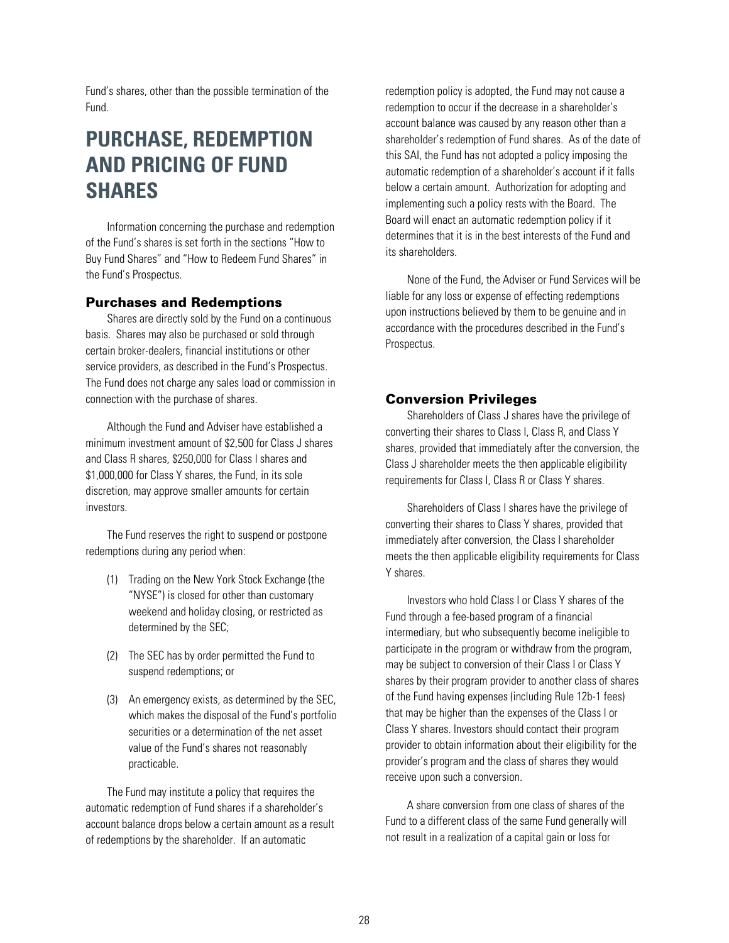<span id="page-30-0"></span>Fund's shares, other than the possible termination of the Fund.

# **PURCHASE, REDEMPTION AND PRICING OF FUND SHARES**

Information concerning the purchase and redemption of the Fund's shares is set forth in the sections "How to Buy Fund Shares" and "How to Redeem Fund Shares" in the Fund's Prospectus.

## Purchases and Redemptions

Shares are directly sold by the Fund on a continuous basis. Shares may also be purchased or sold through certain broker-dealers, financial institutions or other service providers, as described in the Fund's Prospectus. The Fund does not charge any sales load or commission in connection with the purchase of shares.

Although the Fund and Adviser have established a minimum investment amount of \$2,500 for Class J shares and Class R shares, \$250,000 for Class I shares and \$1,000,000 for Class Y shares, the Fund, in its sole discretion, may approve smaller amounts for certain investors.

The Fund reserves the right to suspend or postpone redemptions during any period when:

- (1) Trading on the New York Stock Exchange (the "NYSE") is closed for other than customary weekend and holiday closing, or restricted as determined by the SEC;
- (2) The SEC has by order permitted the Fund to suspend redemptions; or
- (3) An emergency exists, as determined by the SEC, which makes the disposal of the Fund's portfolio securities or a determination of the net asset value of the Fund's shares not reasonably practicable.

The Fund may institute a policy that requires the automatic redemption of Fund shares if a shareholder's account balance drops below a certain amount as a result of redemptions by the shareholder. If an automatic

redemption policy is adopted, the Fund may not cause a redemption to occur if the decrease in a shareholder's account balance was caused by any reason other than a shareholder's redemption of Fund shares. As of the date of this SAI, the Fund has not adopted a policy imposing the automatic redemption of a shareholder's account if it falls below a certain amount. Authorization for adopting and implementing such a policy rests with the Board. The Board will enact an automatic redemption policy if it determines that it is in the best interests of the Fund and its shareholders.

None of the Fund, the Adviser or Fund Services will be liable for any loss or expense of effecting redemptions upon instructions believed by them to be genuine and in accordance with the procedures described in the Fund's Prospectus.

## Conversion Privileges

Shareholders of Class J shares have the privilege of converting their shares to Class I, Class R, and Class Y shares, provided that immediately after the conversion, the Class J shareholder meets the then applicable eligibility requirements for Class I, Class R or Class Y shares.

Shareholders of Class I shares have the privilege of converting their shares to Class Y shares, provided that immediately after conversion, the Class I shareholder meets the then applicable eligibility requirements for Class Y shares.

Investors who hold Class I or Class Y shares of the Fund through a fee-based program of a financial intermediary, but who subsequently become ineligible to participate in the program or withdraw from the program, may be subject to conversion of their Class I or Class Y shares by their program provider to another class of shares of the Fund having expenses (including Rule 12b-1 fees) that may be higher than the expenses of the Class I or Class Y shares. Investors should contact their program provider to obtain information about their eligibility for the provider's program and the class of shares they would receive upon such a conversion.

A share conversion from one class of shares of the Fund to a different class of the same Fund generally will not result in a realization of a capital gain or loss for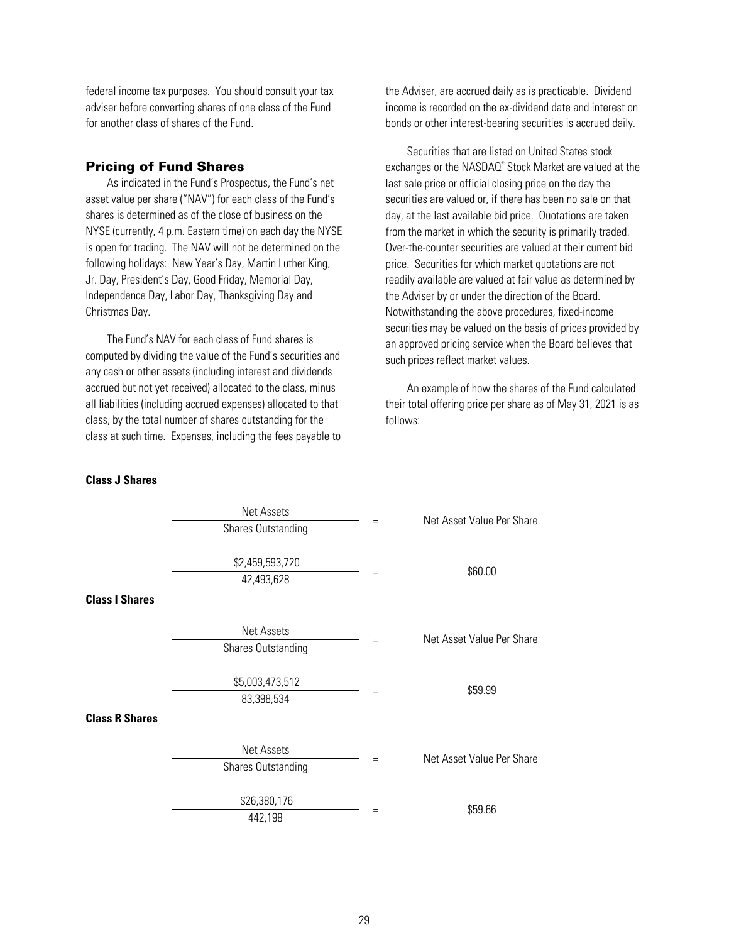<span id="page-31-0"></span>federal income tax purposes. You should consult your tax adviser before converting shares of one class of the Fund for another class of shares of the Fund.

## Pricing of Fund Shares

As indicated in the Fund's Prospectus, the Fund's net asset value per share ("NAV") for each class of the Fund's shares is determined as of the close of business on the NYSE (currently, 4 p.m. Eastern time) on each day the NYSE is open for trading. The NAV will not be determined on the following holidays: New Year's Day, Martin Luther King, Jr. Day, President's Day, Good Friday, Memorial Day, Independence Day, Labor Day, Thanksgiving Day and Christmas Day.

The Fund's NAV for each class of Fund shares is computed by dividing the value of the Fund's securities and any cash or other assets (including interest and dividends accrued but not yet received) allocated to the class, minus all liabilities (including accrued expenses) allocated to that class, by the total number of shares outstanding for the class at such time. Expenses, including the fees payable to the Adviser, are accrued daily as is practicable. Dividend income is recorded on the ex-dividend date and interest on bonds or other interest-bearing securities is accrued daily.

Securities that are listed on United States stock exchanges or the NASDAQ® Stock Market are valued at the last sale price or official closing price on the day the securities are valued or, if there has been no sale on that day, at the last available bid price. Quotations are taken from the market in which the security is primarily traded. Over-the-counter securities are valued at their current bid price. Securities for which market quotations are not readily available are valued at fair value as determined by the Adviser by or under the direction of the Board. Notwithstanding the above procedures, fixed-income securities may be valued on the basis of prices provided by an approved pricing service when the Board believes that such prices reflect market values.

An example of how the shares of the Fund calculated their total offering price per share as of May 31, 2021 is as follows:

#### **Class J Shares**

|                       | <b>Net Assets</b>             |     | Net Asset Value Per Share |  |
|-----------------------|-------------------------------|-----|---------------------------|--|
|                       | <b>Shares Outstanding</b>     | =   |                           |  |
| <b>Class I Shares</b> | \$2,459,593,720<br>42,493,628 | $=$ | \$60.00                   |  |
|                       |                               |     |                           |  |
|                       | Net Assets                    | $=$ | Net Asset Value Per Share |  |
|                       | Shares Outstanding            |     |                           |  |
|                       | \$5,003,473,512<br>83,398,534 | $=$ | \$59.99                   |  |
| <b>Class R Shares</b> |                               |     |                           |  |
|                       | <b>Net Assets</b>             | $=$ | Net Asset Value Per Share |  |
|                       | Shares Outstanding            |     |                           |  |
|                       | \$26,380,176                  | Ξ   | \$59.66                   |  |
|                       | 442,198                       |     |                           |  |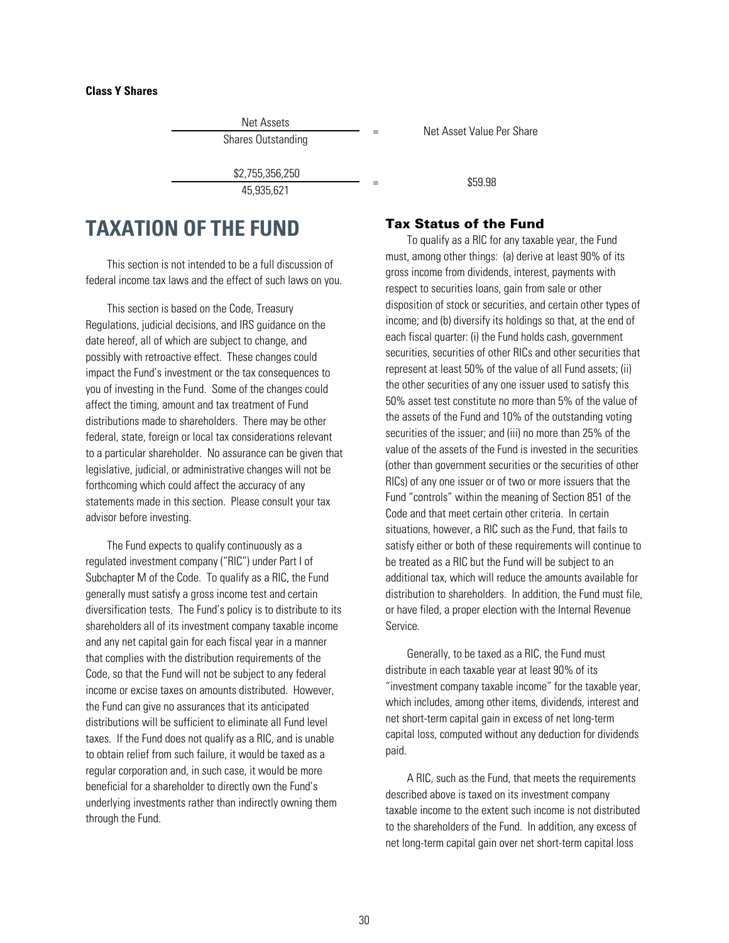### <span id="page-32-0"></span>**Class Y Shares**

Net Assets

\$2,755,356,250  $\frac{1}{45,935,630,230}$  = \$59.98

# **TAXATION OF THE FUND**

This section is not intended to be a full discussion of federal income tax laws and the effect of such laws on you.

This section is based on the Code, Treasury Regulations, judicial decisions, and IRS guidance on the date hereof, all of which are subject to change, and possibly with retroactive effect. These changes could impact the Fund's investment or the tax consequences to you of investing in the Fund. Some of the changes could affect the timing, amount and tax treatment of Fund distributions made to shareholders. There may be other federal, state, foreign or local tax considerations relevant to a particular shareholder. No assurance can be given that legislative, judicial, or administrative changes will not be forthcoming which could affect the accuracy of any statements made in this section. Please consult your tax advisor before investing.

The Fund expects to qualify continuously as a regulated investment company ("RIC") under Part I of Subchapter M of the Code. To qualify as a RIC, the Fund generally must satisfy a gross income test and certain diversification tests. The Fund's policy is to distribute to its shareholders all of its investment company taxable income and any net capital gain for each fiscal year in a manner that complies with the distribution requirements of the Code, so that the Fund will not be subject to any federal income or excise taxes on amounts distributed. However, the Fund can give no assurances that its anticipated distributions will be sufficient to eliminate all Fund level taxes. If the Fund does not qualify as a RIC, and is unable to obtain relief from such failure, it would be taxed as a regular corporation and, in such case, it would be more beneficial for a shareholder to directly own the Fund's underlying investments rather than indirectly owning them through the Fund.

Shares Outstanding The Contract Contract Per Share Shares Outstanding The Share Share Share Share

## Tax Status of the Fund

To qualify as a RIC for any taxable year, the Fund must, among other things: (a) derive at least 90% of its gross income from dividends, interest, payments with respect to securities loans, gain from sale or other disposition of stock or securities, and certain other types of income; and (b) diversify its holdings so that, at the end of each fiscal quarter: (i) the Fund holds cash, government securities, securities of other RICs and other securities that represent at least 50% of the value of all Fund assets; (ii) the other securities of any one issuer used to satisfy this 50% asset test constitute no more than 5% of the value of the assets of the Fund and 10% of the outstanding voting securities of the issuer; and (iii) no more than 25% of the value of the assets of the Fund is invested in the securities (other than government securities or the securities of other RICs) of any one issuer or of two or more issuers that the Fund "controls" within the meaning of Section 851 of the Code and that meet certain other criteria. In certain situations, however, a RIC such as the Fund, that fails to satisfy either or both of these requirements will continue to be treated as a RIC but the Fund will be subject to an additional tax, which will reduce the amounts available for distribution to shareholders. In addition, the Fund must file, or have filed, a proper election with the Internal Revenue Service.

Generally, to be taxed as a RIC, the Fund must distribute in each taxable year at least 90% of its "investment company taxable income" for the taxable year, which includes, among other items, dividends, interest and net short-term capital gain in excess of net long-term capital loss, computed without any deduction for dividends paid.

A RIC, such as the Fund, that meets the requirements described above is taxed on its investment company taxable income to the extent such income is not distributed to the shareholders of the Fund. In addition, any excess of net long-term capital gain over net short-term capital loss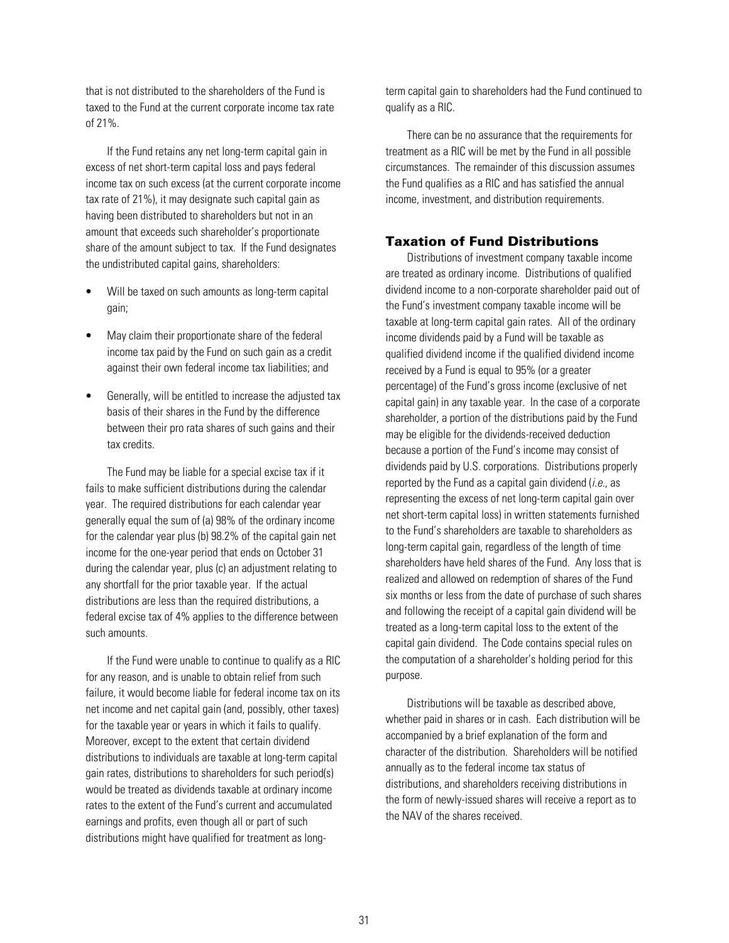<span id="page-33-0"></span>that is not distributed to the shareholders of the Fund is taxed to the Fund at the current corporate income tax rate of 21%.

If the Fund retains any net long-term capital gain in excess of net short-term capital loss and pays federal income tax on such excess (at the current corporate income tax rate of 21%), it may designate such capital gain as having been distributed to shareholders but not in an amount that exceeds such shareholder's proportionate share of the amount subject to tax. If the Fund designates the undistributed capital gains, shareholders:

- Will be taxed on such amounts as long-term capital gain;
- May claim their proportionate share of the federal income tax paid by the Fund on such gain as a credit against their own federal income tax liabilities; and
- Generally, will be entitled to increase the adjusted tax basis of their shares in the Fund by the difference between their pro rata shares of such gains and their tax credits.

The Fund may be liable for a special excise tax if it fails to make sufficient distributions during the calendar year. The required distributions for each calendar year generally equal the sum of (a) 98% of the ordinary income for the calendar year plus (b) 98.2% of the capital gain net income for the one-year period that ends on October 31 during the calendar year, plus (c) an adjustment relating to any shortfall for the prior taxable year. If the actual distributions are less than the required distributions, a federal excise tax of 4% applies to the difference between such amounts.

If the Fund were unable to continue to qualify as a RIC for any reason, and is unable to obtain relief from such failure, it would become liable for federal income tax on its net income and net capital gain (and, possibly, other taxes) for the taxable year or years in which it fails to qualify. Moreover, except to the extent that certain dividend distributions to individuals are taxable at long-term capital gain rates, distributions to shareholders for such period(s) would be treated as dividends taxable at ordinary income rates to the extent of the Fund's current and accumulated earnings and profits, even though all or part of such distributions might have qualified for treatment as longterm capital gain to shareholders had the Fund continued to qualify as a RIC.

There can be no assurance that the requirements for treatment as a RIC will be met by the Fund in all possible circumstances. The remainder of this discussion assumes the Fund qualifies as a RIC and has satisfied the annual income, investment, and distribution requirements.

## Taxation of Fund Distributions

Distributions of investment company taxable income are treated as ordinary income. Distributions of qualified dividend income to a non-corporate shareholder paid out of the Fund's investment company taxable income will be taxable at long-term capital gain rates. All of the ordinary income dividends paid by a Fund will be taxable as qualified dividend income if the qualified dividend income received by a Fund is equal to 95% (or a greater percentage) of the Fund's gross income (exclusive of net capital gain) in any taxable year. In the case of a corporate shareholder, a portion of the distributions paid by the Fund may be eligible for the dividends-received deduction because a portion of the Fund's income may consist of dividends paid by U.S. corporations. Distributions properly reported by the Fund as a capital gain dividend  $(i.e.,$  as representing the excess of net long-term capital gain over net short-term capital loss) in written statements furnished to the Fund's shareholders are taxable to shareholders as long-term capital gain, regardless of the length of time shareholders have held shares of the Fund. Any loss that is realized and allowed on redemption of shares of the Fund six months or less from the date of purchase of such shares and following the receipt of a capital gain dividend will be treated as a long-term capital loss to the extent of the capital gain dividend. The Code contains special rules on the computation of a shareholder's holding period for this purpose.

Distributions will be taxable as described above, whether paid in shares or in cash. Each distribution will be accompanied by a brief explanation of the form and character of the distribution. Shareholders will be notified annually as to the federal income tax status of distributions, and shareholders receiving distributions in the form of newly-issued shares will receive a report as to the NAV of the shares received.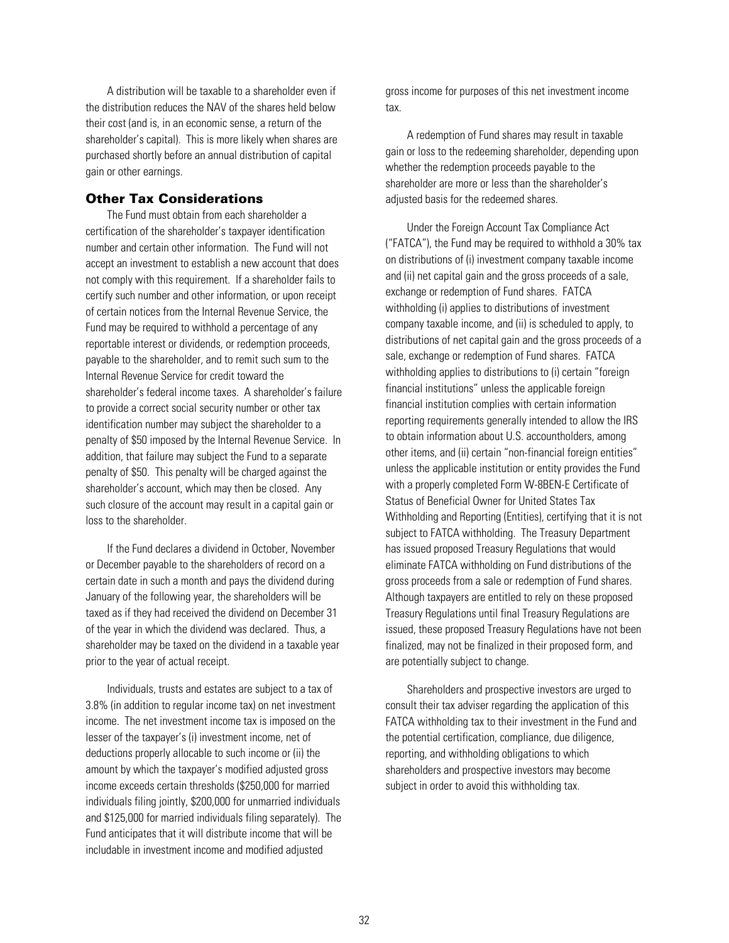<span id="page-34-0"></span>A distribution will be taxable to a shareholder even if the distribution reduces the NAV of the shares held below their cost (and is, in an economic sense, a return of the shareholder's capital). This is more likely when shares are purchased shortly before an annual distribution of capital gain or other earnings.

## Other Tax Considerations

The Fund must obtain from each shareholder a certification of the shareholder's taxpayer identification number and certain other information. The Fund will not accept an investment to establish a new account that does not comply with this requirement. If a shareholder fails to certify such number and other information, or upon receipt of certain notices from the Internal Revenue Service, the Fund may be required to withhold a percentage of any reportable interest or dividends, or redemption proceeds, payable to the shareholder, and to remit such sum to the Internal Revenue Service for credit toward the shareholder's federal income taxes. A shareholder's failure to provide a correct social security number or other tax identification number may subject the shareholder to a penalty of \$50 imposed by the Internal Revenue Service. In addition, that failure may subject the Fund to a separate penalty of \$50. This penalty will be charged against the shareholder's account, which may then be closed. Any such closure of the account may result in a capital gain or loss to the shareholder.

If the Fund declares a dividend in October, November or December payable to the shareholders of record on a certain date in such a month and pays the dividend during January of the following year, the shareholders will be taxed as if they had received the dividend on December 31 of the year in which the dividend was declared. Thus, a shareholder may be taxed on the dividend in a taxable year prior to the year of actual receipt.

Individuals, trusts and estates are subject to a tax of 3.8% (in addition to regular income tax) on net investment income. The net investment income tax is imposed on the lesser of the taxpayer's (i) investment income, net of deductions properly allocable to such income or (ii) the amount by which the taxpayer's modified adjusted gross income exceeds certain thresholds (\$250,000 for married individuals filing jointly, \$200,000 for unmarried individuals and \$125,000 for married individuals filing separately). The Fund anticipates that it will distribute income that will be includable in investment income and modified adjusted

gross income for purposes of this net investment income tax.

A redemption of Fund shares may result in taxable gain or loss to the redeeming shareholder, depending upon whether the redemption proceeds payable to the shareholder are more or less than the shareholder's adjusted basis for the redeemed shares.

Under the Foreign Account Tax Compliance Act ("FATCA"), the Fund may be required to withhold a 30% tax on distributions of (i) investment company taxable income and (ii) net capital gain and the gross proceeds of a sale, exchange or redemption of Fund shares. FATCA withholding (i) applies to distributions of investment company taxable income, and (ii) is scheduled to apply, to distributions of net capital gain and the gross proceeds of a sale, exchange or redemption of Fund shares. FATCA withholding applies to distributions to (i) certain "foreign financial institutions" unless the applicable foreign financial institution complies with certain information reporting requirements generally intended to allow the IRS to obtain information about U.S. accountholders, among other items, and (ii) certain "non-financial foreign entities" unless the applicable institution or entity provides the Fund with a properly completed Form W-8BEN-E Certificate of Status of Beneficial Owner for United States Tax Withholding and Reporting (Entities), certifying that it is not subject to FATCA withholding. The Treasury Department has issued proposed Treasury Regulations that would eliminate FATCA withholding on Fund distributions of the gross proceeds from a sale or redemption of Fund shares. Although taxpayers are entitled to rely on these proposed Treasury Regulations until final Treasury Regulations are issued, these proposed Treasury Regulations have not been finalized, may not be finalized in their proposed form, and are potentially subject to change.

Shareholders and prospective investors are urged to consult their tax adviser regarding the application of this FATCA withholding tax to their investment in the Fund and the potential certification, compliance, due diligence, reporting, and withholding obligations to which shareholders and prospective investors may become subject in order to avoid this withholding tax.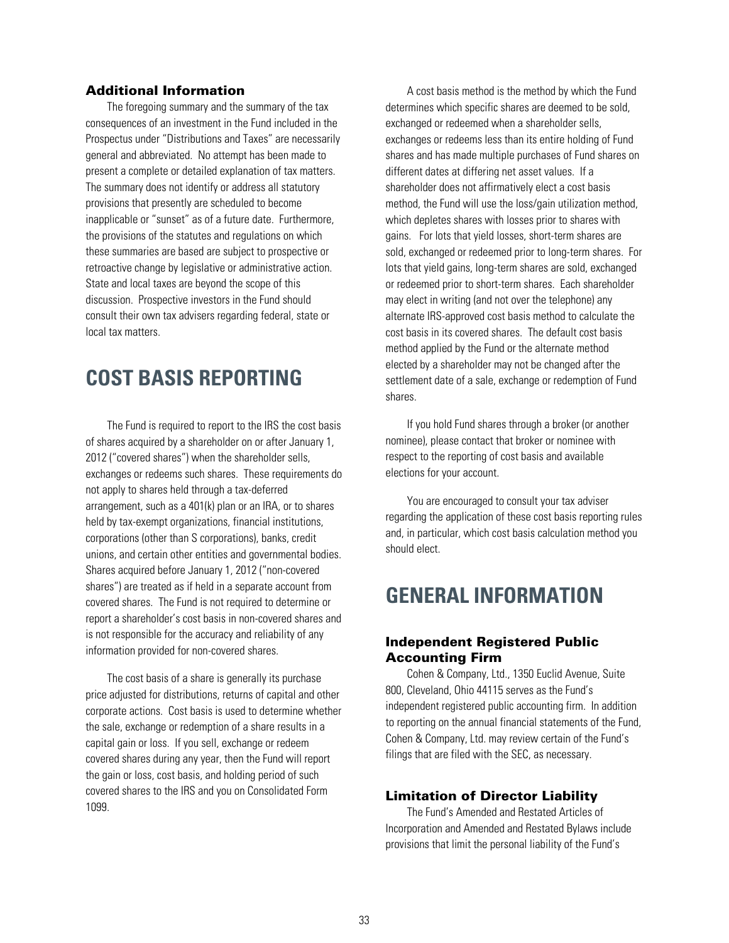## <span id="page-35-0"></span>Additional Information

The foregoing summary and the summary of the tax consequences of an investment in the Fund included in the Prospectus under "Distributions and Taxes" are necessarily general and abbreviated. No attempt has been made to present a complete or detailed explanation of tax matters. The summary does not identify or address all statutory provisions that presently are scheduled to become inapplicable or "sunset" as of a future date. Furthermore, the provisions of the statutes and regulations on which these summaries are based are subject to prospective or retroactive change by legislative or administrative action. State and local taxes are beyond the scope of this discussion. Prospective investors in the Fund should consult their own tax advisers regarding federal, state or local tax matters.

# **COST BASIS REPORTING**

The Fund is required to report to the IRS the cost basis of shares acquired by a shareholder on or after January 1, 2012 ("covered shares") when the shareholder sells, exchanges or redeems such shares. These requirements do not apply to shares held through a tax-deferred arrangement, such as a 401(k) plan or an IRA, or to shares held by tax-exempt organizations, financial institutions, corporations (other than S corporations), banks, credit unions, and certain other entities and governmental bodies. Shares acquired before January 1, 2012 ("non-covered shares") are treated as if held in a separate account from covered shares. The Fund is not required to determine or report a shareholder's cost basis in non-covered shares and is not responsible for the accuracy and reliability of any information provided for non-covered shares.

The cost basis of a share is generally its purchase price adjusted for distributions, returns of capital and other corporate actions. Cost basis is used to determine whether the sale, exchange or redemption of a share results in a capital gain or loss. If you sell, exchange or redeem covered shares during any year, then the Fund will report the gain or loss, cost basis, and holding period of such covered shares to the IRS and you on Consolidated Form 1099.

A cost basis method is the method by which the Fund determines which specific shares are deemed to be sold, exchanged or redeemed when a shareholder sells, exchanges or redeems less than its entire holding of Fund shares and has made multiple purchases of Fund shares on different dates at differing net asset values. If a shareholder does not affirmatively elect a cost basis method, the Fund will use the loss/gain utilization method, which depletes shares with losses prior to shares with gains. For lots that yield losses, short-term shares are sold, exchanged or redeemed prior to long-term shares. For lots that yield gains, long-term shares are sold, exchanged or redeemed prior to short-term shares. Each shareholder may elect in writing (and not over the telephone) any alternate IRS-approved cost basis method to calculate the cost basis in its covered shares. The default cost basis method applied by the Fund or the alternate method elected by a shareholder may not be changed after the settlement date of a sale, exchange or redemption of Fund shares.

If you hold Fund shares through a broker (or another nominee), please contact that broker or nominee with respect to the reporting of cost basis and available elections for your account.

You are encouraged to consult your tax adviser regarding the application of these cost basis reporting rules and, in particular, which cost basis calculation method you should elect.

# **GENERAL INFORMATION**

## Independent Registered Public Accounting Firm

Cohen & Company, Ltd., 1350 Euclid Avenue, Suite 800, Cleveland, Ohio 44115 serves as the Fund's independent registered public accounting firm. In addition to reporting on the annual financial statements of the Fund, Cohen & Company, Ltd. may review certain of the Fund's filings that are filed with the SEC, as necessary.

## Limitation of Director Liability

The Fund's Amended and Restated Articles of Incorporation and Amended and Restated Bylaws include provisions that limit the personal liability of the Fund's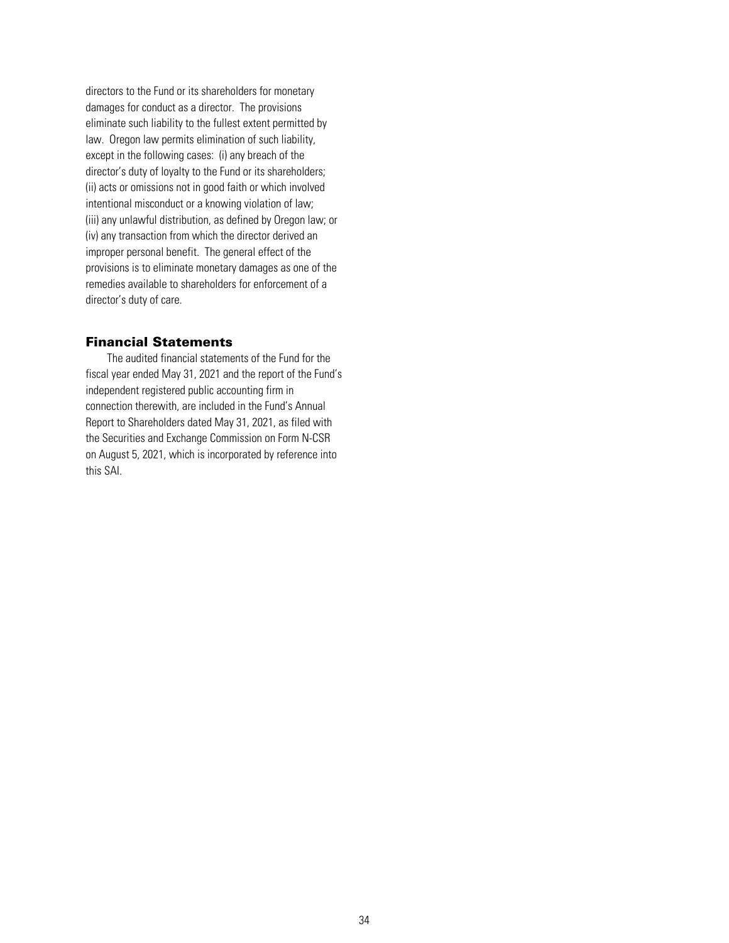<span id="page-36-0"></span>directors to the Fund or its shareholders for monetary damages for conduct as a director. The provisions eliminate such liability to the fullest extent permitted by law. Oregon law permits elimination of such liability, except in the following cases: (i) any breach of the director's duty of loyalty to the Fund or its shareholders; (ii) acts or omissions not in good faith or which involved intentional misconduct or a knowing violation of law; (iii) any unlawful distribution, as defined by Oregon law; or (iv) any transaction from which the director derived an improper personal benefit. The general effect of the provisions is to eliminate monetary damages as one of the remedies available to shareholders for enforcement of a director's duty of care.

## Financial Statements

The audited financial statements of the Fund for the fiscal year ended May 31, 2021 and the report of the Fund's independent registered public accounting firm in connection therewith, are included in the Fund's Annual Report to Shareholders dated May 31, 2021, as filed with the Securities and Exchange Commission on Form N-CSR on August 5, 2021, which is incorporated by reference into this SAI.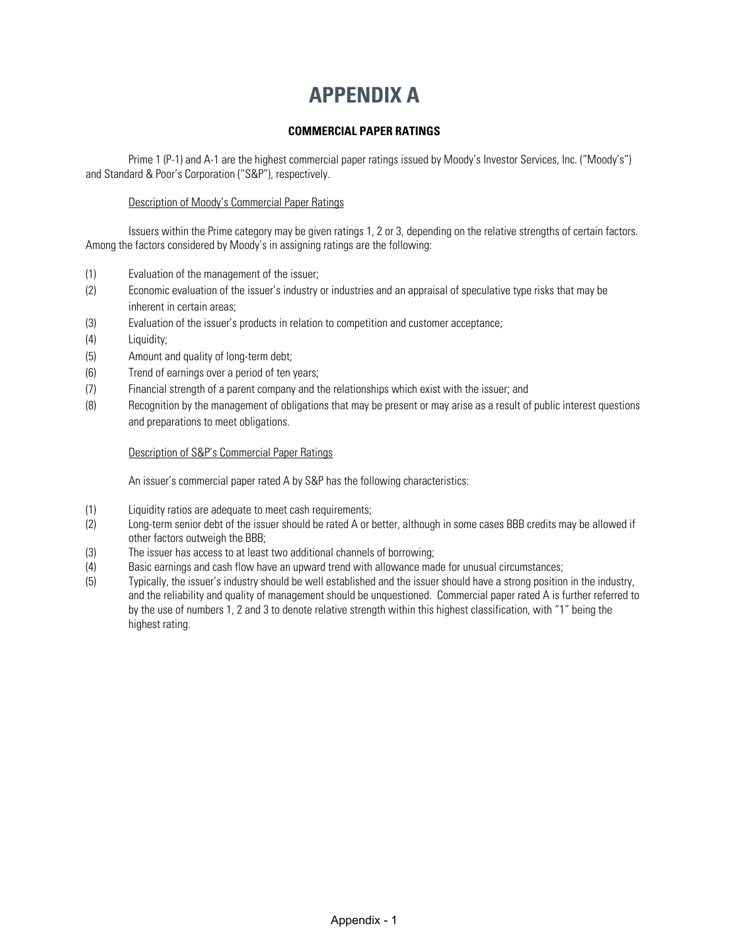# **APPENDIX A**

## **COMMERCIAL PAPER RATINGS**

<span id="page-37-0"></span>Prime 1 (P-1) and A-1 are the highest commercial paper ratings issued by Moody's Investor Services, Inc. ("Moody's") and Standard & Poor's Corporation ("S&P"), respectively.

## Description of Moody's Commercial Paper Ratings

Issuers within the Prime category may be given ratings 1, 2 or 3, depending on the relative strengths of certain factors. Among the factors considered by Moody's in assigning ratings are the following:

- (1) Evaluation of the management of the issuer;
- (2) Economic evaluation of the issuer's industry or industries and an appraisal of speculative type risks that may be inherent in certain areas;
- (3) Evaluation of the issuer's products in relation to competition and customer acceptance;
- (4) Liquidity;
- (5) Amount and quality of long-term debt;
- (6) Trend of earnings over a period of ten years;
- (7) Financial strength of a parent company and the relationships which exist with the issuer; and
- (8) Recognition by the management of obligations that may be present or may arise as a result of public interest questions and preparations to meet obligations.

## Description of S&P's Commercial Paper Ratings

An issuer's commercial paper rated A by S&P has the following characteristics:

- (1) Liquidity ratios are adequate to meet cash requirements;
- (2) Long-term senior debt of the issuer should be rated A or better, although in some cases BBB credits may be allowed if other factors outweigh the BBB;
- (3) The issuer has access to at least two additional channels of borrowing;
- (4) Basic earnings and cash flow have an upward trend with allowance made for unusual circumstances;
- (5) Typically, the issuer's industry should be well established and the issuer should have a strong position in the industry, and the reliability and quality of management should be unquestioned. Commercial paper rated A is further referred to by the use of numbers 1, 2 and 3 to denote relative strength within this highest classification, with "1" being the highest rating.